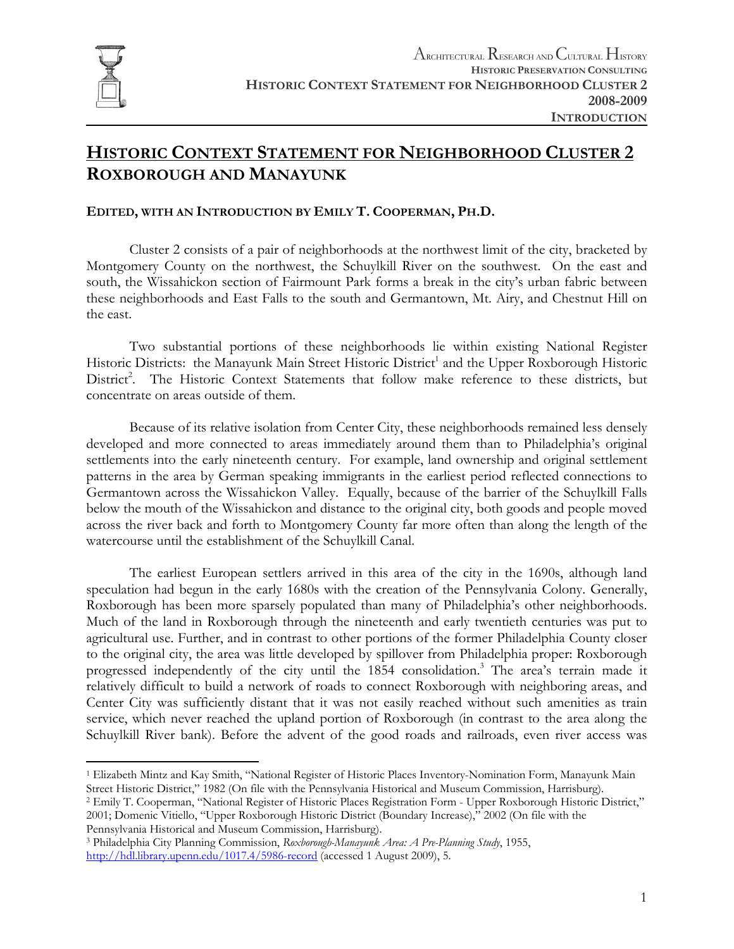

# **HISTORIC CONTEXT STATEMENT FOR NEIGHBORHOOD CLUSTER 2 ROXBOROUGH AND MANAYUNK**

#### **EDITED, WITH AN INTRODUCTION BY EMILY T. COOPERMAN, PH.D.**

Cluster 2 consists of a pair of neighborhoods at the northwest limit of the city, bracketed by Montgomery County on the northwest, the Schuylkill River on the southwest. On the east and south, the Wissahickon section of Fairmount Park forms a break in the city's urban fabric between these neighborhoods and East Falls to the south and Germantown, Mt. Airy, and Chestnut Hill on the east.

Two substantial portions of these neighborhoods lie within existing National Register Historic Districts: the Manayunk Main Street Historic District<sup>1</sup> and the Upper Roxborough Historic District<sup>2</sup>. The Historic Context Statements that follow make reference to these districts, but concentrate on areas outside of them.

Because of its relative isolation from Center City, these neighborhoods remained less densely developed and more connected to areas immediately around them than to Philadelphia's original settlements into the early nineteenth century. For example, land ownership and original settlement patterns in the area by German speaking immigrants in the earliest period reflected connections to Germantown across the Wissahickon Valley. Equally, because of the barrier of the Schuylkill Falls below the mouth of the Wissahickon and distance to the original city, both goods and people moved across the river back and forth to Montgomery County far more often than along the length of the watercourse until the establishment of the Schuylkill Canal.

The earliest European settlers arrived in this area of the city in the 1690s, although land speculation had begun in the early 1680s with the creation of the Pennsylvania Colony. Generally, Roxborough has been more sparsely populated than many of Philadelphia's other neighborhoods. Much of the land in Roxborough through the nineteenth and early twentieth centuries was put to agricultural use. Further, and in contrast to other portions of the former Philadelphia County closer to the original city, the area was little developed by spillover from Philadelphia proper: Roxborough progressed independently of the city until the 1854 consolidation.<sup>3</sup> The area's terrain made it relatively difficult to build a network of roads to connect Roxborough with neighboring areas, and Center City was sufficiently distant that it was not easily reached without such amenities as train service, which never reached the upland portion of Roxborough (in contrast to the area along the Schuylkill River bank). Before the advent of the good roads and railroads, even river access was

Street Historic District," 1982 (On file with the Pennsylvania Historical and Museum Commission, Harrisburg).<br><sup>2</sup> Emily T. Cooperman, "National Register of Historic Places Registration Form - Upper Roxborough Historic Dist 2001; Domenic Vitiello, "Upper Roxborough Historic District (Boundary Increase)," 2002 (On file with the

Pennsylvania Historical and Museum Commission, Harrisburg). 3 Philadelphia City Planning Commission, *Roxborough-Manayunk Area: A Pre-Planning Study*, 1955, http://hdl.library.upenn.edu/1017.4/5986-record (accessed 1 August 2009), 5.

 $\overline{a}$ 1 Elizabeth Mintz and Kay Smith, "National Register of Historic Places Inventory-Nomination Form, Manayunk Main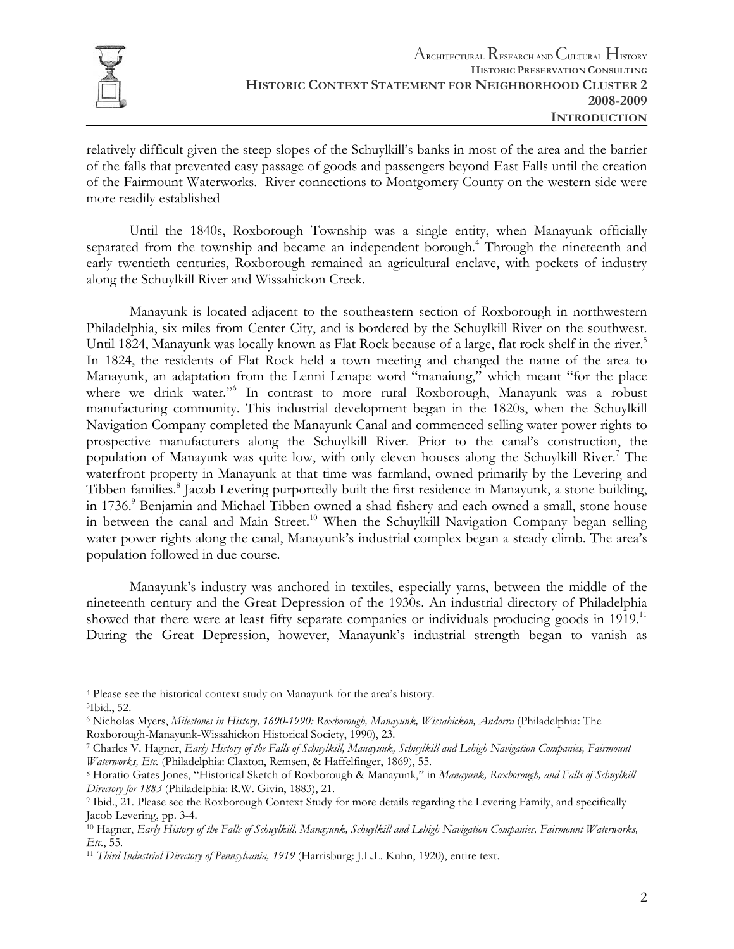

relatively difficult given the steep slopes of the Schuylkill's banks in most of the area and the barrier of the falls that prevented easy passage of goods and passengers beyond East Falls until the creation of the Fairmount Waterworks. River connections to Montgomery County on the western side were more readily established

Until the 1840s, Roxborough Township was a single entity, when Manayunk officially separated from the township and became an independent borough.<sup>4</sup> Through the nineteenth and early twentieth centuries, Roxborough remained an agricultural enclave, with pockets of industry along the Schuylkill River and Wissahickon Creek.

 Manayunk is located adjacent to the southeastern section of Roxborough in northwestern Philadelphia, six miles from Center City, and is bordered by the Schuylkill River on the southwest. Until 1824, Manayunk was locally known as Flat Rock because of a large, flat rock shelf in the river.<sup>5</sup> In 1824, the residents of Flat Rock held a town meeting and changed the name of the area to Manayunk, an adaptation from the Lenni Lenape word "manaiung," which meant "for the place where we drink water."6 In contrast to more rural Roxborough, Manayunk was a robust manufacturing community. This industrial development began in the 1820s, when the Schuylkill Navigation Company completed the Manayunk Canal and commenced selling water power rights to prospective manufacturers along the Schuylkill River. Prior to the canal's construction, the population of Manayunk was quite low, with only eleven houses along the Schuylkill River.<sup>7</sup> The waterfront property in Manayunk at that time was farmland, owned primarily by the Levering and Tibben families.<sup>8</sup> Jacob Levering purportedly built the first residence in Manayunk, a stone building, in 1736.<sup>9</sup> Benjamin and Michael Tibben owned a shad fishery and each owned a small, stone house in between the canal and Main Street.<sup>10</sup> When the Schuylkill Navigation Company began selling water power rights along the canal, Manayunk's industrial complex began a steady climb. The area's population followed in due course.

 Manayunk's industry was anchored in textiles, especially yarns, between the middle of the nineteenth century and the Great Depression of the 1930s. An industrial directory of Philadelphia showed that there were at least fifty separate companies or individuals producing goods in 1919.<sup>11</sup> During the Great Depression, however, Manayunk's industrial strength began to vanish as

1

<sup>4</sup> Please see the historical context study on Manayunk for the area's history. 5Ibid., 52.

<sup>6</sup> Nicholas Myers, *Milestones in History, 1690-1990: Roxborough, Manayunk, Wissahickon, Andorra* (Philadelphia: The

Roxborough-Manayunk-Wissahickon Historical Society, 1990), 23.<br><sup>7</sup> Charles V. Hagner, *Early History of the Falls of Schuylkill, Manayunk, Schuylkill and Lehigh Navigation Companies, Fairmount <i>Waterworks, Etc.* (Philadelp

<sup>&</sup>lt;sup>8</sup> Horatio Gates Jones, "Historical Sketch of Roxborough & Manayunk," in *Manayunk*, Roxborough, and Falls of Schuylkill *Directory for 1883* (Philadelphia: R.W. Givin, 1883), 21.<br><sup>9</sup> Ibid., 21. Please see the Roxborough Context Study for more details regarding the Levering Family, and specifically

Jacob Levering, pp. 3-4.

<sup>10</sup> Hagner, *Early History of the Falls of Schuylkill, Manayunk, Schuylkill and Lehigh Navigation Companies, Fairmount Waterworks, Etc.*, 55. 11 *Third Industrial Directory of Pennsylvania, 1919* (Harrisburg: J.L.L. Kuhn, 1920), entire text.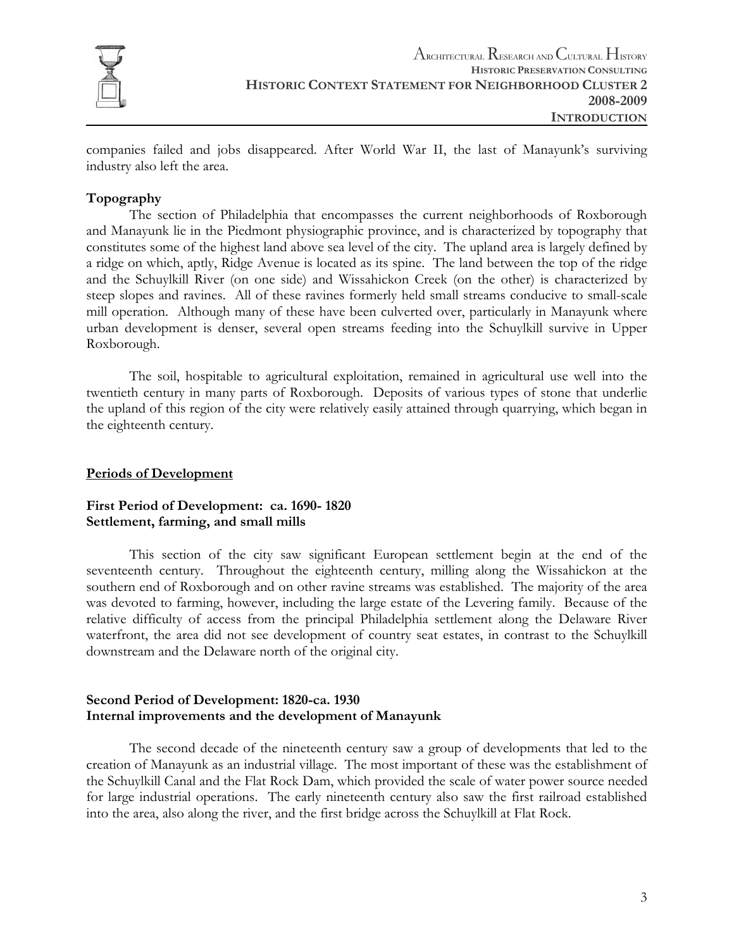

companies failed and jobs disappeared. After World War II, the last of Manayunk's surviving industry also left the area.

#### **Topography**

The section of Philadelphia that encompasses the current neighborhoods of Roxborough and Manayunk lie in the Piedmont physiographic province, and is characterized by topography that constitutes some of the highest land above sea level of the city. The upland area is largely defined by a ridge on which, aptly, Ridge Avenue is located as its spine. The land between the top of the ridge and the Schuylkill River (on one side) and Wissahickon Creek (on the other) is characterized by steep slopes and ravines. All of these ravines formerly held small streams conducive to small-scale mill operation. Although many of these have been culverted over, particularly in Manayunk where urban development is denser, several open streams feeding into the Schuylkill survive in Upper Roxborough.

The soil, hospitable to agricultural exploitation, remained in agricultural use well into the twentieth century in many parts of Roxborough. Deposits of various types of stone that underlie the upland of this region of the city were relatively easily attained through quarrying, which began in the eighteenth century.

#### **Periods of Development**

#### **First Period of Development: ca. 1690- 1820 Settlement, farming, and small mills**

This section of the city saw significant European settlement begin at the end of the seventeenth century. Throughout the eighteenth century, milling along the Wissahickon at the southern end of Roxborough and on other ravine streams was established. The majority of the area was devoted to farming, however, including the large estate of the Levering family. Because of the relative difficulty of access from the principal Philadelphia settlement along the Delaware River waterfront, the area did not see development of country seat estates, in contrast to the Schuylkill downstream and the Delaware north of the original city.

#### **Second Period of Development: 1820-ca. 1930 Internal improvements and the development of Manayunk**

The second decade of the nineteenth century saw a group of developments that led to the creation of Manayunk as an industrial village. The most important of these was the establishment of the Schuylkill Canal and the Flat Rock Dam, which provided the scale of water power source needed for large industrial operations. The early nineteenth century also saw the first railroad established into the area, also along the river, and the first bridge across the Schuylkill at Flat Rock.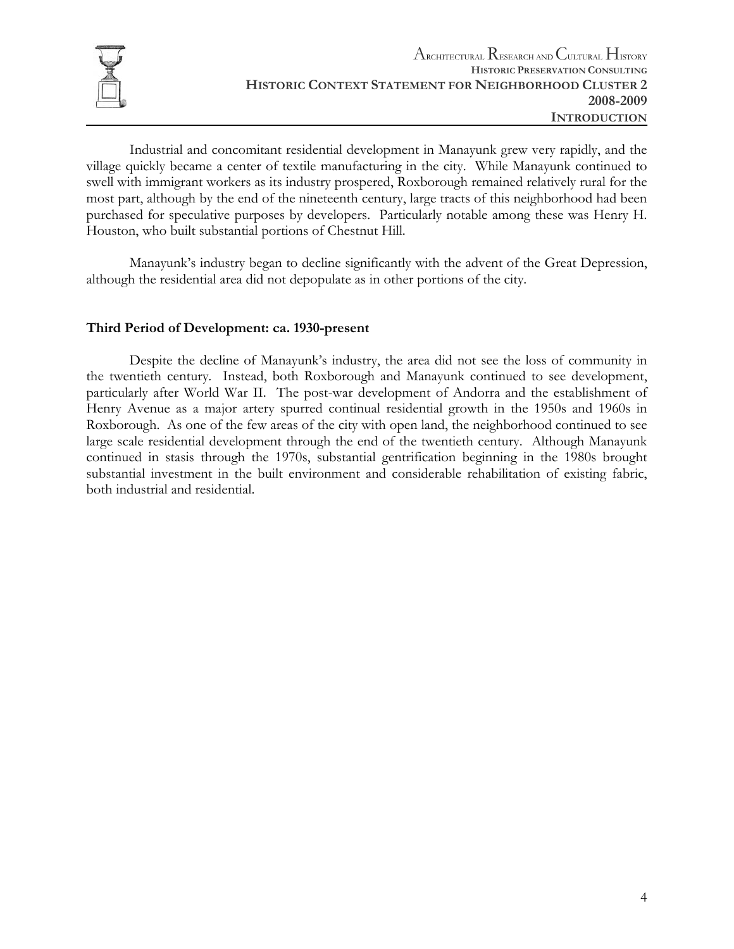

 Industrial and concomitant residential development in Manayunk grew very rapidly, and the village quickly became a center of textile manufacturing in the city. While Manayunk continued to swell with immigrant workers as its industry prospered, Roxborough remained relatively rural for the most part, although by the end of the nineteenth century, large tracts of this neighborhood had been purchased for speculative purposes by developers. Particularly notable among these was Henry H. Houston, who built substantial portions of Chestnut Hill.

 Manayunk's industry began to decline significantly with the advent of the Great Depression, although the residential area did not depopulate as in other portions of the city.

#### **Third Period of Development: ca. 1930-present**

Despite the decline of Manayunk's industry, the area did not see the loss of community in the twentieth century. Instead, both Roxborough and Manayunk continued to see development, particularly after World War II. The post-war development of Andorra and the establishment of Henry Avenue as a major artery spurred continual residential growth in the 1950s and 1960s in Roxborough. As one of the few areas of the city with open land, the neighborhood continued to see large scale residential development through the end of the twentieth century. Although Manayunk continued in stasis through the 1970s, substantial gentrification beginning in the 1980s brought substantial investment in the built environment and considerable rehabilitation of existing fabric, both industrial and residential.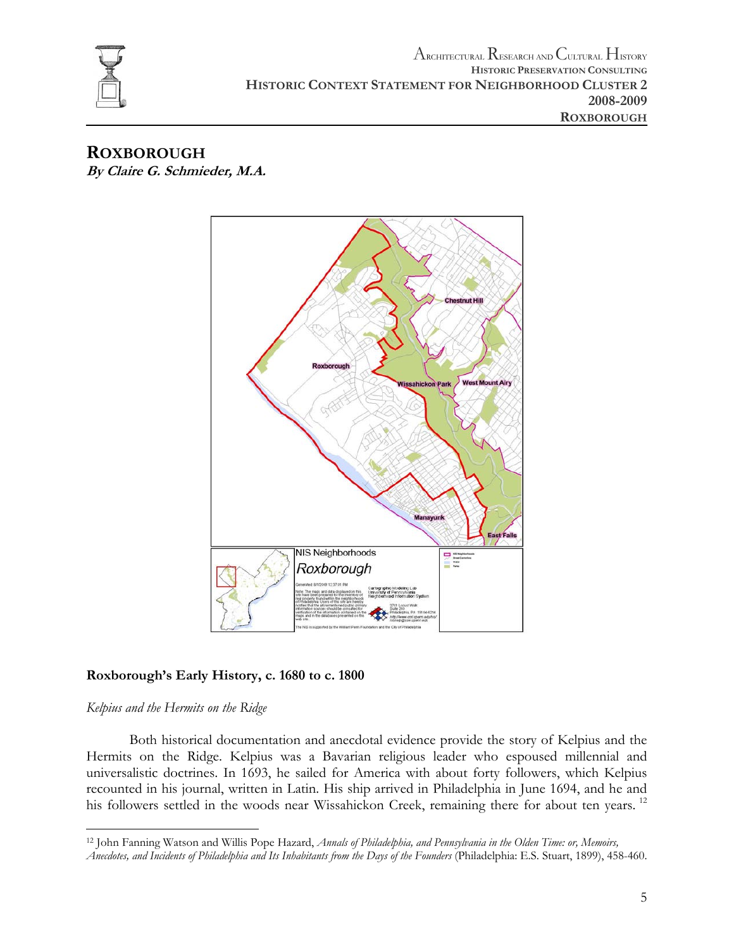

### **ROXBOROUGH By Claire G. Schmieder, M.A.**



### **Roxborough's Early History, c. 1680 to c. 1800**

### *Kelpius and the Hermits on the Ridge*

 Both historical documentation and anecdotal evidence provide the story of Kelpius and the Hermits on the Ridge. Kelpius was a Bavarian religious leader who espoused millennial and universalistic doctrines. In 1693, he sailed for America with about forty followers, which Kelpius recounted in his journal, written in Latin. His ship arrived in Philadelphia in June 1694, and he and his followers settled in the woods near Wissahickon Creek, remaining there for about ten years.<sup>12</sup>

<sup>1</sup> 12 John Fanning Watson and Willis Pope Hazard, *Annals of Philadelphia, and Pennsylvania in the Olden Time: or, Memoirs, Anecdotes, and Incidents of Philadelphia and Its Inhabitants from the Days of the Founders* (Philadelphia: E.S. Stuart, 1899), 458-460.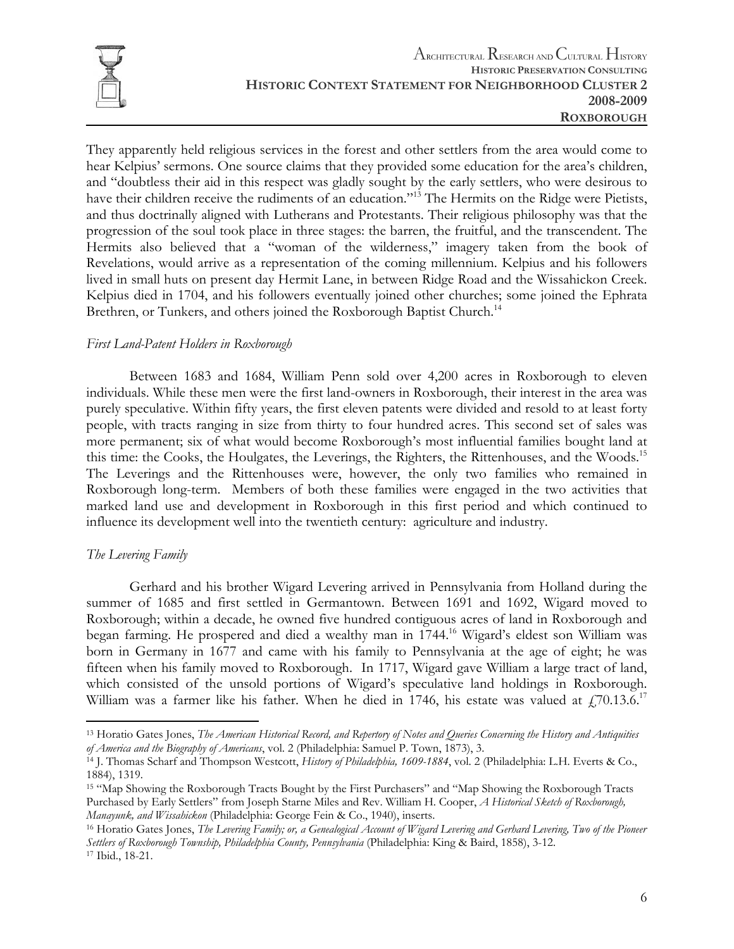

They apparently held religious services in the forest and other settlers from the area would come to hear Kelpius' sermons. One source claims that they provided some education for the area's children, and "doubtless their aid in this respect was gladly sought by the early settlers, who were desirous to have their children receive the rudiments of an education."<sup>13</sup> The Hermits on the Ridge were Pietists, and thus doctrinally aligned with Lutherans and Protestants. Their religious philosophy was that the progression of the soul took place in three stages: the barren, the fruitful, and the transcendent. The Hermits also believed that a "woman of the wilderness," imagery taken from the book of Revelations, would arrive as a representation of the coming millennium. Kelpius and his followers lived in small huts on present day Hermit Lane, in between Ridge Road and the Wissahickon Creek. Kelpius died in 1704, and his followers eventually joined other churches; some joined the Ephrata Brethren, or Tunkers, and others joined the Roxborough Baptist Church.<sup>14</sup>

#### *First Land-Patent Holders in Roxborough*

 Between 1683 and 1684, William Penn sold over 4,200 acres in Roxborough to eleven individuals. While these men were the first land-owners in Roxborough, their interest in the area was purely speculative. Within fifty years, the first eleven patents were divided and resold to at least forty people, with tracts ranging in size from thirty to four hundred acres. This second set of sales was more permanent; six of what would become Roxborough's most influential families bought land at this time: the Cooks, the Houlgates, the Leverings, the Righters, the Rittenhouses, and the Woods.15 The Leverings and the Rittenhouses were, however, the only two families who remained in Roxborough long-term. Members of both these families were engaged in the two activities that marked land use and development in Roxborough in this first period and which continued to influence its development well into the twentieth century: agriculture and industry.

#### *The Levering Family*

1

 Gerhard and his brother Wigard Levering arrived in Pennsylvania from Holland during the summer of 1685 and first settled in Germantown. Between 1691 and 1692, Wigard moved to Roxborough; within a decade, he owned five hundred contiguous acres of land in Roxborough and began farming. He prospered and died a wealthy man in 1744.16 Wigard's eldest son William was born in Germany in 1677 and came with his family to Pennsylvania at the age of eight; he was fifteen when his family moved to Roxborough. In 1717, Wigard gave William a large tract of land, which consisted of the unsold portions of Wigard's speculative land holdings in Roxborough. William was a farmer like his father. When he died in 1746, his estate was valued at  $\frac{170.13.6^{17}}{2}$ 

<sup>13</sup> Horatio Gates Jones, *The American Historical Record, and Repertory of Notes and Queries Concerning the History and Antiquities* 

*of America and the Biography of Americans*, vol. 2 (Philadelphia: Samuel P. Town, 1873), 3. 14 J. Thomas Scharf and Thompson Westcott, *History of Philadelphia, 1609-1884*, vol. 2 (Philadelphia: L.H. Everts & Co., 1884), 1319.

<sup>15 &</sup>quot;Map Showing the Roxborough Tracts Bought by the First Purchasers" and "Map Showing the Roxborough Tracts Purchased by Early Settlers" from Joseph Starne Miles and Rev. William H. Cooper, *A Historical Sketch of Roxborough, Manayunk, and Wissahickon* (Philadelphia: George Fein & Co., 1940), inserts.<br><sup>16</sup> Horatio Gates Jones, *The Levering Family; or, a Genealogical Account of Wigard Levering and Gerhard Levering, Two of the Pioneer* 

*Settlers of Roxborough Township, Philadelphia County, Pennsylvania* (Philadelphia: King & Baird, 1858), 3-12. 17 Ibid., 18-21.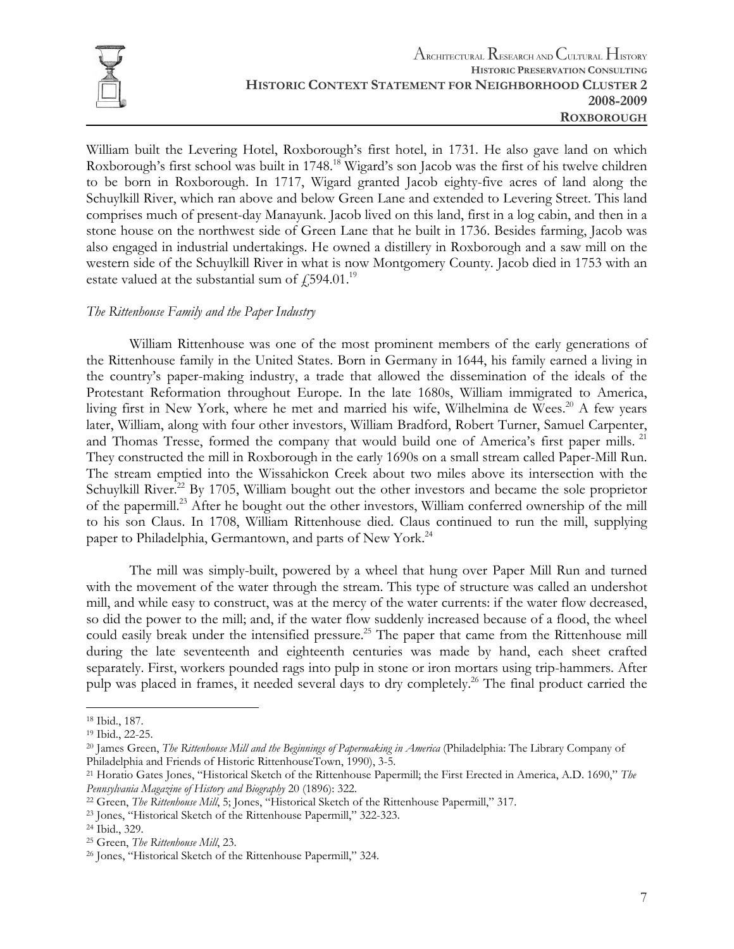

William built the Levering Hotel, Roxborough's first hotel, in 1731. He also gave land on which Roxborough's first school was built in 1748.<sup>18</sup> Wigard's son Jacob was the first of his twelve children to be born in Roxborough. In 1717, Wigard granted Jacob eighty-five acres of land along the Schuylkill River, which ran above and below Green Lane and extended to Levering Street. This land comprises much of present-day Manayunk. Jacob lived on this land, first in a log cabin, and then in a stone house on the northwest side of Green Lane that he built in 1736. Besides farming, Jacob was also engaged in industrial undertakings. He owned a distillery in Roxborough and a saw mill on the western side of the Schuylkill River in what is now Montgomery County. Jacob died in 1753 with an estate valued at the substantial sum of  $\text{\textsterling}594.01$ .<sup>19</sup>

#### *The Rittenhouse Family and the Paper Industry*

 William Rittenhouse was one of the most prominent members of the early generations of the Rittenhouse family in the United States. Born in Germany in 1644, his family earned a living in the country's paper-making industry, a trade that allowed the dissemination of the ideals of the Protestant Reformation throughout Europe. In the late 1680s, William immigrated to America, living first in New York, where he met and married his wife, Wilhelmina de Wees.<sup>20</sup> A few years later, William, along with four other investors, William Bradford, Robert Turner, Samuel Carpenter, and Thomas Tresse, formed the company that would build one of America's first paper mills. <sup>21</sup> They constructed the mill in Roxborough in the early 1690s on a small stream called Paper-Mill Run. The stream emptied into the Wissahickon Creek about two miles above its intersection with the Schuylkill River.<sup>22</sup> By 1705, William bought out the other investors and became the sole proprietor of the papermill.<sup>23</sup> After he bought out the other investors, William conferred ownership of the mill to his son Claus. In 1708, William Rittenhouse died. Claus continued to run the mill, supplying paper to Philadelphia, Germantown, and parts of New York.<sup>24</sup>

 The mill was simply-built, powered by a wheel that hung over Paper Mill Run and turned with the movement of the water through the stream. This type of structure was called an undershot mill, and while easy to construct, was at the mercy of the water currents: if the water flow decreased, so did the power to the mill; and, if the water flow suddenly increased because of a flood, the wheel could easily break under the intensified pressure.<sup>25</sup> The paper that came from the Rittenhouse mill during the late seventeenth and eighteenth centuries was made by hand, each sheet crafted separately. First, workers pounded rags into pulp in stone or iron mortars using trip-hammers. After pulp was placed in frames, it needed several days to dry completely.<sup>26</sup> The final product carried the

<sup>18</sup> Ibid., 187.

<sup>19</sup> Ibid., 22-25.

<sup>20</sup> James Green, *The Rittenhouse Mill and the Beginnings of Papermaking in America* (Philadelphia: The Library Company of Philadelphia and Friends of Historic RittenhouseTown, 1990), 3-5.<br><sup>21</sup> Horatio Gates Jones, "Historical Sketch of the Rittenhouse Papermill; the First Erected in America, A.D. 1690," *The* 

Pennsylvania Magazine of History and Biography 20 (1896): 322.<br><sup>22</sup> Green, *The Rittenhouse Mill*, 5; Jones, "Historical Sketch of the Rittenhouse Papermill," 317.<br><sup>23</sup> Jones, "Historical Sketch of the Rittenhouse Papermil

<sup>&</sup>lt;sup>25</sup> Green, *The Rittenhouse Mill*, 23.<br><sup>26</sup> Jones, "Historical Sketch of the Rittenhouse Papermill," 324.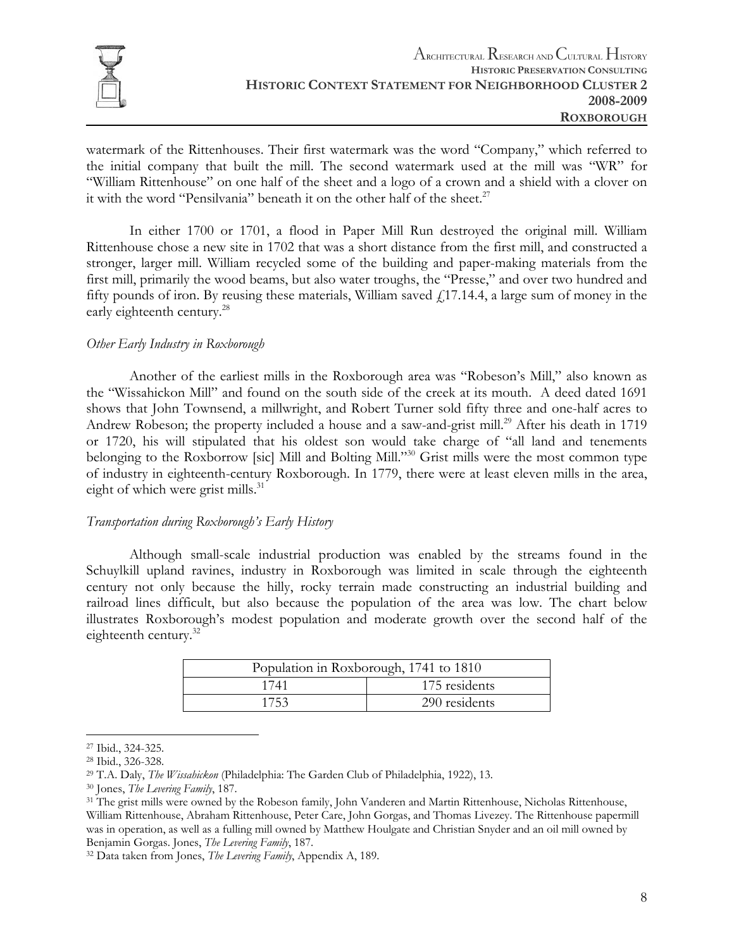

watermark of the Rittenhouses. Their first watermark was the word "Company," which referred to the initial company that built the mill. The second watermark used at the mill was "WR" for "William Rittenhouse" on one half of the sheet and a logo of a crown and a shield with a clover on it with the word "Pensilvania" beneath it on the other half of the sheet. $27$ 

 In either 1700 or 1701, a flood in Paper Mill Run destroyed the original mill. William Rittenhouse chose a new site in 1702 that was a short distance from the first mill, and constructed a stronger, larger mill. William recycled some of the building and paper-making materials from the first mill, primarily the wood beams, but also water troughs, the "Presse," and over two hundred and fifty pounds of iron. By reusing these materials, William saved  $f<sub>1</sub>17.14.4$ , a large sum of money in the early eighteenth century.<sup>28</sup>

#### *Other Early Industry in Roxborough*

 Another of the earliest mills in the Roxborough area was "Robeson's Mill," also known as the "Wissahickon Mill" and found on the south side of the creek at its mouth. A deed dated 1691 shows that John Townsend, a millwright, and Robert Turner sold fifty three and one-half acres to Andrew Robeson; the property included a house and a saw-and-grist mill.<sup>29</sup> After his death in 1719 or 1720, his will stipulated that his oldest son would take charge of "all land and tenements belonging to the Roxborrow [sic] Mill and Bolting Mill."<sup>30</sup> Grist mills were the most common type of industry in eighteenth-century Roxborough. In 1779, there were at least eleven mills in the area, eight of which were grist mills.<sup>31</sup>

#### *Transportation during Roxborough's Early History*

 Although small-scale industrial production was enabled by the streams found in the Schuylkill upland ravines, industry in Roxborough was limited in scale through the eighteenth century not only because the hilly, rocky terrain made constructing an industrial building and railroad lines difficult, but also because the population of the area was low. The chart below illustrates Roxborough's modest population and moderate growth over the second half of the eighteenth century.<sup>32</sup>

| Population in Roxborough, 1741 to 1810 |               |  |
|----------------------------------------|---------------|--|
| 1741                                   | 175 residents |  |
| 1753                                   | 290 residents |  |

<sup>27</sup> Ibid., 324-325.

<sup>28</sup> Ibid., 326-328.

<sup>&</sup>lt;sup>29</sup> T.A. Daly, *The Wissahickon* (Philadelphia: The Garden Club of Philadelphia, 1922), 13.<br><sup>30</sup> Jones, *The Levering Family*, 187.<br><sup>31</sup> The grist mills were owned by the Robeson family, John Vanderen and Martin Rittenhou William Rittenhouse, Abraham Rittenhouse, Peter Care, John Gorgas, and Thomas Livezey. The Rittenhouse papermill was in operation, as well as a fulling mill owned by Matthew Houlgate and Christian Snyder and an oil mill owned by Benjamin Gorgas. Jones, *The Levering Family*, 187. 32 Data taken from Jones, *The Levering Family*, Appendix A, 189.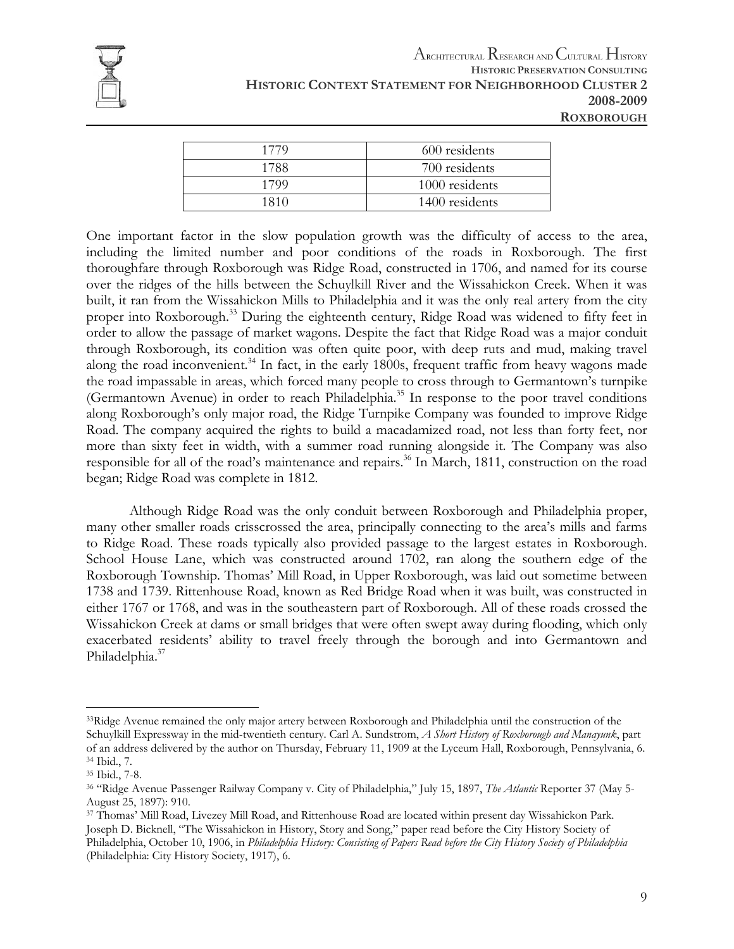

| 1779 | 600 residents  |
|------|----------------|
| 1788 | 700 residents  |
| 1799 | 1000 residents |
| 1810 | 1400 residents |
|      |                |

One important factor in the slow population growth was the difficulty of access to the area, including the limited number and poor conditions of the roads in Roxborough. The first thoroughfare through Roxborough was Ridge Road, constructed in 1706, and named for its course over the ridges of the hills between the Schuylkill River and the Wissahickon Creek. When it was built, it ran from the Wissahickon Mills to Philadelphia and it was the only real artery from the city proper into Roxborough.<sup>33</sup> During the eighteenth century, Ridge Road was widened to fifty feet in order to allow the passage of market wagons. Despite the fact that Ridge Road was a major conduit through Roxborough, its condition was often quite poor, with deep ruts and mud, making travel along the road inconvenient.<sup>34</sup> In fact, in the early 1800s, frequent traffic from heavy wagons made the road impassable in areas, which forced many people to cross through to Germantown's turnpike (Germantown Avenue) in order to reach Philadelphia.<sup>35</sup> In response to the poor travel conditions along Roxborough's only major road, the Ridge Turnpike Company was founded to improve Ridge Road. The company acquired the rights to build a macadamized road, not less than forty feet, nor more than sixty feet in width, with a summer road running alongside it. The Company was also responsible for all of the road's maintenance and repairs.<sup>36</sup> In March, 1811, construction on the road began; Ridge Road was complete in 1812.

 Although Ridge Road was the only conduit between Roxborough and Philadelphia proper, many other smaller roads crisscrossed the area, principally connecting to the area's mills and farms to Ridge Road. These roads typically also provided passage to the largest estates in Roxborough. School House Lane, which was constructed around 1702, ran along the southern edge of the Roxborough Township. Thomas' Mill Road, in Upper Roxborough, was laid out sometime between 1738 and 1739. Rittenhouse Road, known as Red Bridge Road when it was built, was constructed in either 1767 or 1768, and was in the southeastern part of Roxborough. All of these roads crossed the Wissahickon Creek at dams or small bridges that were often swept away during flooding, which only exacerbated residents' ability to travel freely through the borough and into Germantown and Philadelphia.<sup>37</sup>

<sup>&</sup>lt;sup>33</sup>Ridge Avenue remained the only major artery between Roxborough and Philadelphia until the construction of the Schuylkill Expressway in the mid-twentieth century. Carl A. Sundstrom, *A Short History of Roxborough and Manayunk*, part of an address delivered by the author on Thursday, February 11, 1909 at the Lyceum Hall, Roxborough, Pennsylvania, 6. 34 Ibid., 7.

<sup>35</sup> Ibid., 7-8.

<sup>36 &</sup>quot;Ridge Avenue Passenger Railway Company v. City of Philadelphia," July 15, 1897, *The Atlantic* Reporter 37 (May 5- August 25, 1897): 910.

<sup>37</sup> Thomas' Mill Road, Livezey Mill Road, and Rittenhouse Road are located within present day Wissahickon Park. Joseph D. Bicknell, "The Wissahickon in History, Story and Song," paper read before the City History Society of Philadelphia, October 10, 1906, in *Philadelphia History: Consisting of Papers Read before the City History Society of Philadelphia* (Philadelphia: City History Society, 1917), 6.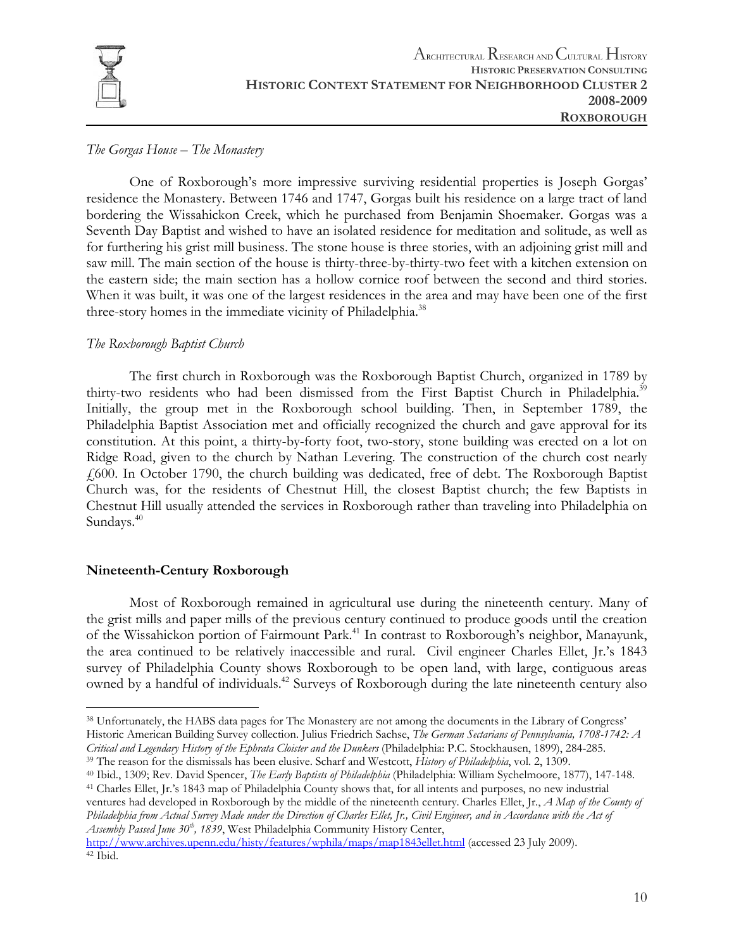

#### *The Gorgas House – The Monastery*

 One of Roxborough's more impressive surviving residential properties is Joseph Gorgas' residence the Monastery. Between 1746 and 1747, Gorgas built his residence on a large tract of land bordering the Wissahickon Creek, which he purchased from Benjamin Shoemaker. Gorgas was a Seventh Day Baptist and wished to have an isolated residence for meditation and solitude, as well as for furthering his grist mill business. The stone house is three stories, with an adjoining grist mill and saw mill. The main section of the house is thirty-three-by-thirty-two feet with a kitchen extension on the eastern side; the main section has a hollow cornice roof between the second and third stories. When it was built, it was one of the largest residences in the area and may have been one of the first three-story homes in the immediate vicinity of Philadelphia.<sup>38</sup>

#### *The Roxborough Baptist Church*

The first church in Roxborough was the Roxborough Baptist Church, organized in 1789 by thirty-two residents who had been dismissed from the First Baptist Church in Philadelphia.<sup>39</sup> Initially, the group met in the Roxborough school building. Then, in September 1789, the Philadelphia Baptist Association met and officially recognized the church and gave approval for its constitution. At this point, a thirty-by-forty foot, two-story, stone building was erected on a lot on Ridge Road, given to the church by Nathan Levering. The construction of the church cost nearly £600. In October 1790, the church building was dedicated, free of debt. The Roxborough Baptist Church was, for the residents of Chestnut Hill, the closest Baptist church; the few Baptists in Chestnut Hill usually attended the services in Roxborough rather than traveling into Philadelphia on Sundays.<sup>40</sup>

#### **Nineteenth-Century Roxborough**

Most of Roxborough remained in agricultural use during the nineteenth century. Many of the grist mills and paper mills of the previous century continued to produce goods until the creation of the Wissahickon portion of Fairmount Park.<sup>41</sup> In contrast to Roxborough's neighbor, Manayunk, the area continued to be relatively inaccessible and rural. Civil engineer Charles Ellet, Jr.'s 1843 survey of Philadelphia County shows Roxborough to be open land, with large, contiguous areas owned by a handful of individuals.<sup>42</sup> Surveys of Roxborough during the late nineteenth century also

ventures had developed in Roxborough by the middle of the nineteenth century. Charles Ellet, Jr., *A Map of the County of Philadelphia from Actual Survey Made under the Direction of Charles Ellet, Jr., Civil Engineer, and in Accordance with the Act of Assembly Passed June 30th, 1839*, West Philadelphia Community History Center,

```
http://www.archives.upenn.edu/histy/features/wphila/maps/map1843ellet.html (accessed 23 July 2009). 42 Ibid.
```
 $\overline{a}$ 38 Unfortunately, the HABS data pages for The Monastery are not among the documents in the Library of Congress' Historic American Building Survey collection. Julius Friedrich Sachse, *The German Sectarians of Pennsylvania, 1708-1742: A* 

Critical and Legendary History of the Ephrata Cloister and the Dunkers (Philadelphia: P.C. Stockhausen, 1899), 284-285.<br><sup>39</sup> The reason for the dismissals has been elusive. Scharf and Westcott, *History of Philadelphia*, v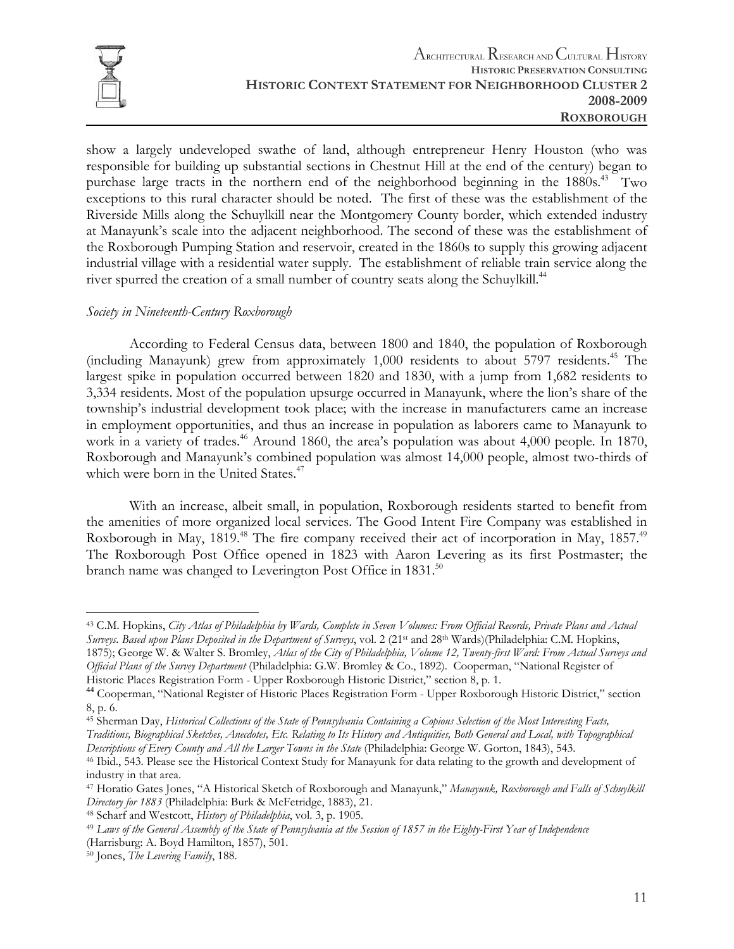

show a largely undeveloped swathe of land, although entrepreneur Henry Houston (who was responsible for building up substantial sections in Chestnut Hill at the end of the century) began to purchase large tracts in the northern end of the neighborhood beginning in the 1880s.<sup>43</sup> Two exceptions to this rural character should be noted. The first of these was the establishment of the Riverside Mills along the Schuylkill near the Montgomery County border, which extended industry at Manayunk's scale into the adjacent neighborhood. The second of these was the establishment of the Roxborough Pumping Station and reservoir, created in the 1860s to supply this growing adjacent industrial village with a residential water supply. The establishment of reliable train service along the river spurred the creation of a small number of country seats along the Schuylkill.<sup>44</sup>

#### *Society in Nineteenth-Century Roxborough*

According to Federal Census data, between 1800 and 1840, the population of Roxborough (including Manayunk) grew from approximately 1,000 residents to about 5797 residents.<sup>45</sup> The largest spike in population occurred between 1820 and 1830, with a jump from 1,682 residents to 3,334 residents. Most of the population upsurge occurred in Manayunk, where the lion's share of the township's industrial development took place; with the increase in manufacturers came an increase in employment opportunities, and thus an increase in population as laborers came to Manayunk to work in a variety of trades.<sup>46</sup> Around 1860, the area's population was about 4,000 people. In 1870, Roxborough and Manayunk's combined population was almost 14,000 people, almost two-thirds of which were born in the United States.<sup>47</sup>

With an increase, albeit small, in population, Roxborough residents started to benefit from the amenities of more organized local services. The Good Intent Fire Company was established in Roxborough in May, 1819.<sup>48</sup> The fire company received their act of incorporation in May, 1857.<sup>49</sup> The Roxborough Post Office opened in 1823 with Aaron Levering as its first Postmaster; the branch name was changed to Leverington Post Office in 1831.<sup>50</sup>

 $\overline{a}$ 43 C.M. Hopkins, *City Atlas of Philadelphia by Wards, Complete in Seven Volumes: From Official Records, Private Plans and Actual Surveys. Based upon Plans Deposited in the Department of Surveys*, vol. 2 (21st and 28th Wards)(Philadelphia: C.M. Hopkins, 1875); George W. & Walter S. Bromley, *Atlas of the City of Philadelphia, Volume 12, Twenty-first Ward: From Actual Surveys and* 

*Official Plans of the Survey Department* (Philadelphia: G.W. Bromley & Co., 1892). Cooperman, "National Register of Historic Places Registration Form - Upper Roxborough Historic District," section 8, p. 1.

<sup>&</sup>lt;sup>44</sup> Cooperman, "National Register of Historic Places Registration Form - Upper Roxborough Historic District," section 8, p. 6.

<sup>45</sup> Sherman Day, *Historical Collections of the State of Pennsylvania Containing a Copious Selection of the Most Interesting Facts, Traditions, Biographical Sketches, Anecdotes, Etc. Relating to Its History and Antiquities, Both General and Local, with Topographical* 

<sup>&</sup>lt;sup>46</sup> Ibid., 543. Please see the Historical Context Study for Manayunk for data relating to the growth and development of industry in that area.

<sup>47</sup> Horatio Gates Jones, "A Historical Sketch of Roxborough and Manayunk," *Manayunk, Roxborough and Falls of Schuylkill*  Directory for 1883 (Philadelphia: Burk & McFetridge, 1883), 21.<br><sup>48</sup> Scharf and Westcott, History of Philadelphia, vol. 3, p. 1905.<br><sup>49</sup> Laws of the General Assembly of the State of Pennsylvania at the Session of 1857 in t

<sup>(</sup>Harrisburg: A. Boyd Hamilton, 1857), 501. 50 Jones, *The Levering Family*, 188.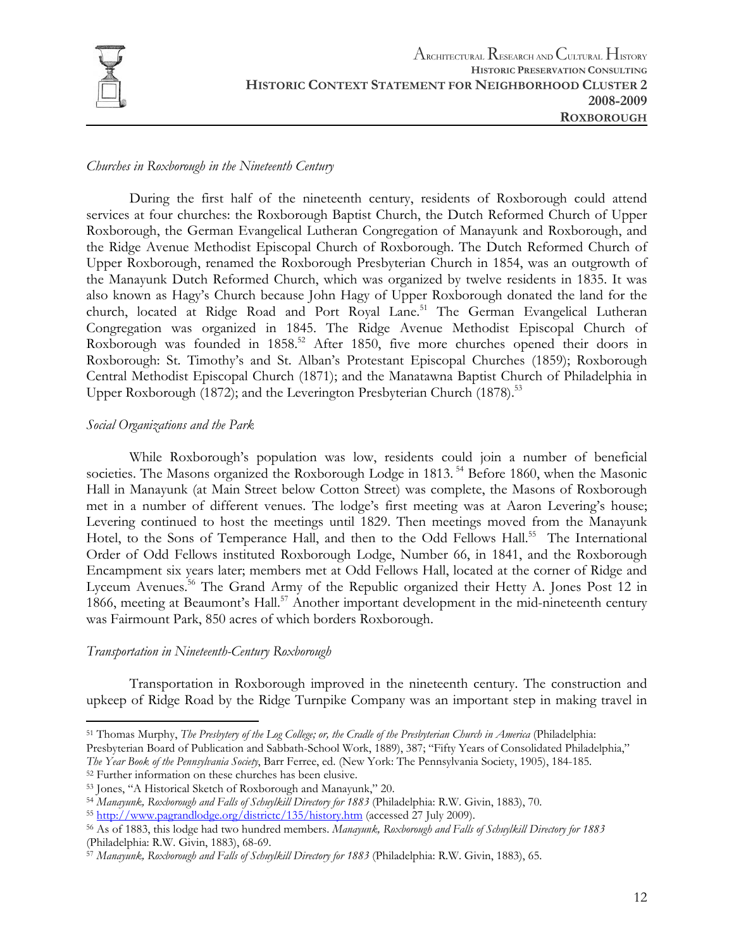

#### *Churches in Roxborough in the Nineteenth Century*

 During the first half of the nineteenth century, residents of Roxborough could attend services at four churches: the Roxborough Baptist Church, the Dutch Reformed Church of Upper Roxborough, the German Evangelical Lutheran Congregation of Manayunk and Roxborough, and the Ridge Avenue Methodist Episcopal Church of Roxborough. The Dutch Reformed Church of Upper Roxborough, renamed the Roxborough Presbyterian Church in 1854, was an outgrowth of the Manayunk Dutch Reformed Church, which was organized by twelve residents in 1835. It was also known as Hagy's Church because John Hagy of Upper Roxborough donated the land for the church, located at Ridge Road and Port Royal Lane.<sup>51</sup> The German Evangelical Lutheran Congregation was organized in 1845. The Ridge Avenue Methodist Episcopal Church of Roxborough was founded in 1858.<sup>52</sup> After 1850, five more churches opened their doors in Roxborough: St. Timothy's and St. Alban's Protestant Episcopal Churches (1859); Roxborough Central Methodist Episcopal Church (1871); and the Manatawna Baptist Church of Philadelphia in Upper Roxborough (1872); and the Leverington Presbyterian Church (1878).<sup>53</sup>

#### *Social Organizations and the Park*

 While Roxborough's population was low, residents could join a number of beneficial societies. The Masons organized the Roxborough Lodge in 1813.<sup>54</sup> Before 1860, when the Masonic Hall in Manayunk (at Main Street below Cotton Street) was complete, the Masons of Roxborough met in a number of different venues. The lodge's first meeting was at Aaron Levering's house; Levering continued to host the meetings until 1829. Then meetings moved from the Manayunk Hotel, to the Sons of Temperance Hall, and then to the Odd Fellows Hall.<sup>55</sup> The International Order of Odd Fellows instituted Roxborough Lodge, Number 66, in 1841, and the Roxborough Encampment six years later; members met at Odd Fellows Hall, located at the corner of Ridge and Lyceum Avenues.<sup>56</sup> The Grand Army of the Republic organized their Hetty A. Jones Post 12 in 1866, meeting at Beaumont's Hall.<sup>57</sup> Another important development in the mid-nineteenth century was Fairmount Park, 850 acres of which borders Roxborough.

#### *Transportation in Nineteenth-Century Roxborough*

1

 Transportation in Roxborough improved in the nineteenth century. The construction and upkeep of Ridge Road by the Ridge Turnpike Company was an important step in making travel in

<sup>51</sup> Thomas Murphy, *The Presbytery of the Log College; or, the Cradle of the Presbyterian Church in America* (Philadelphia:

Presbyterian Board of Publication and Sabbath-School Work, 1889), 387; "Fifty Years of Consolidated Philadelphia," *The Year Book of the Pennsylvania Society*, Barr Ferree, ed. (New York: The Pennsylvania Society, 1905), 184-185. 52 Further information on these churches has been elusive.

<sup>&</sup>lt;sup>53</sup> Jones, "A Historical Sketch of Roxborough and Manayunk," 20.<br><sup>54</sup> Manayunk, Roxborough and Falls of Schuylkill Directory for 1883 (Philadelphia: R.W. Givin, 1883), 70.<br><sup>55</sup> <u>http://www.pagrandlodge.org/districtc/135/h</u> (Philadelphia: R.W. Givin, 1883), 68-69.

<sup>57</sup> *Manayunk, Roxborough and Falls of Schuylkill Directory for 1883* (Philadelphia: R.W. Givin, 1883), 65.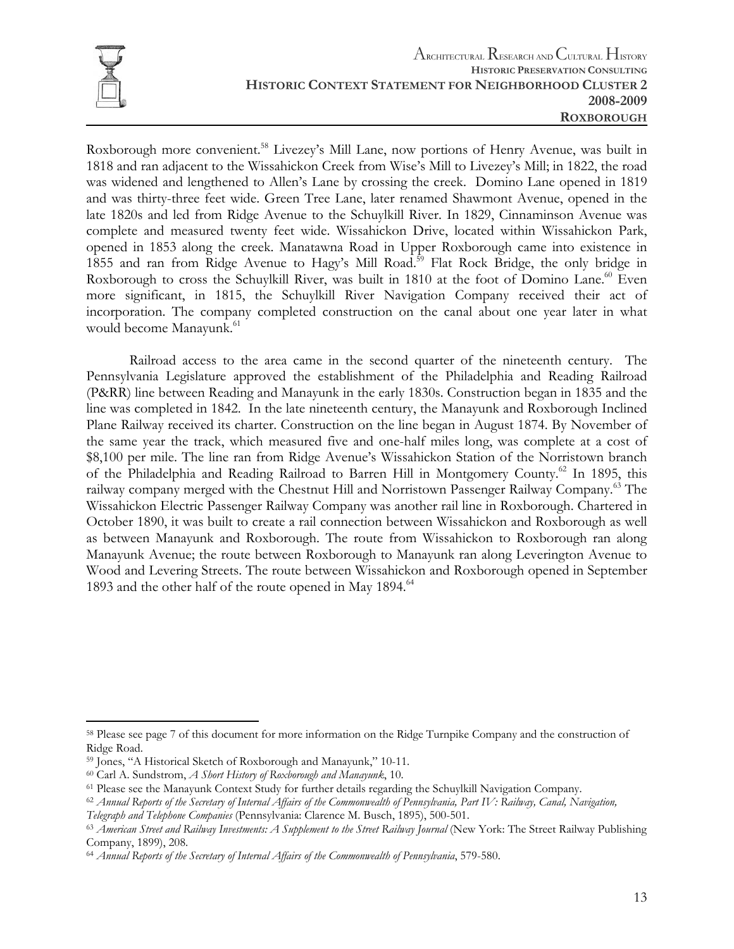

1

Roxborough more convenient.<sup>58</sup> Livezey's Mill Lane, now portions of Henry Avenue, was built in 1818 and ran adjacent to the Wissahickon Creek from Wise's Mill to Livezey's Mill; in 1822, the road was widened and lengthened to Allen's Lane by crossing the creek. Domino Lane opened in 1819 and was thirty-three feet wide. Green Tree Lane, later renamed Shawmont Avenue, opened in the late 1820s and led from Ridge Avenue to the Schuylkill River. In 1829, Cinnaminson Avenue was complete and measured twenty feet wide. Wissahickon Drive, located within Wissahickon Park, opened in 1853 along the creek. Manatawna Road in Upper Roxborough came into existence in 1855 and ran from Ridge Avenue to Hagy's Mill Road.<sup>59</sup> Flat Rock Bridge, the only bridge in Roxborough to cross the Schuylkill River, was built in 1810 at the foot of Domino Lane.<sup>60</sup> Even more significant, in 1815, the Schuylkill River Navigation Company received their act of incorporation. The company completed construction on the canal about one year later in what would become Manayunk.<sup>61</sup>

 Railroad access to the area came in the second quarter of the nineteenth century. The Pennsylvania Legislature approved the establishment of the Philadelphia and Reading Railroad (P&RR) line between Reading and Manayunk in the early 1830s. Construction began in 1835 and the line was completed in 1842. In the late nineteenth century, the Manayunk and Roxborough Inclined Plane Railway received its charter. Construction on the line began in August 1874. By November of the same year the track, which measured five and one-half miles long, was complete at a cost of \$8,100 per mile. The line ran from Ridge Avenue's Wissahickon Station of the Norristown branch of the Philadelphia and Reading Railroad to Barren Hill in Montgomery County.<sup>62</sup> In 1895, this railway company merged with the Chestnut Hill and Norristown Passenger Railway Company.63 The Wissahickon Electric Passenger Railway Company was another rail line in Roxborough. Chartered in October 1890, it was built to create a rail connection between Wissahickon and Roxborough as well as between Manayunk and Roxborough. The route from Wissahickon to Roxborough ran along Manayunk Avenue; the route between Roxborough to Manayunk ran along Leverington Avenue to Wood and Levering Streets. The route between Wissahickon and Roxborough opened in September 1893 and the other half of the route opened in May 1894.<sup>64</sup>

<sup>58</sup> Please see page 7 of this document for more information on the Ridge Turnpike Company and the construction of Ridge Road.

<sup>&</sup>lt;sup>59</sup> Jones, "A Historical Sketch of Roxborough and Manayunk," 10-11.<br><sup>60</sup> Carl A. Sundstrom, *A Short History of Roxborough and Manayunk*, 10.<br><sup>61</sup> Please see the Manayunk Context Study for further details regarding the S

Telegraph and Telephone Companies (Pennsylvania: Clarence M. Busch, 1895), 500-501.<br><sup>63</sup> American Street and Railway Investments: A Supplement to the Street Railway Journal (New York: The Street Railway Publishing Company, 1899), 208.

<sup>64</sup> *Annual Reports of the Secretary of Internal Affairs of the Commonwealth of Pennsylvania*, 579-580.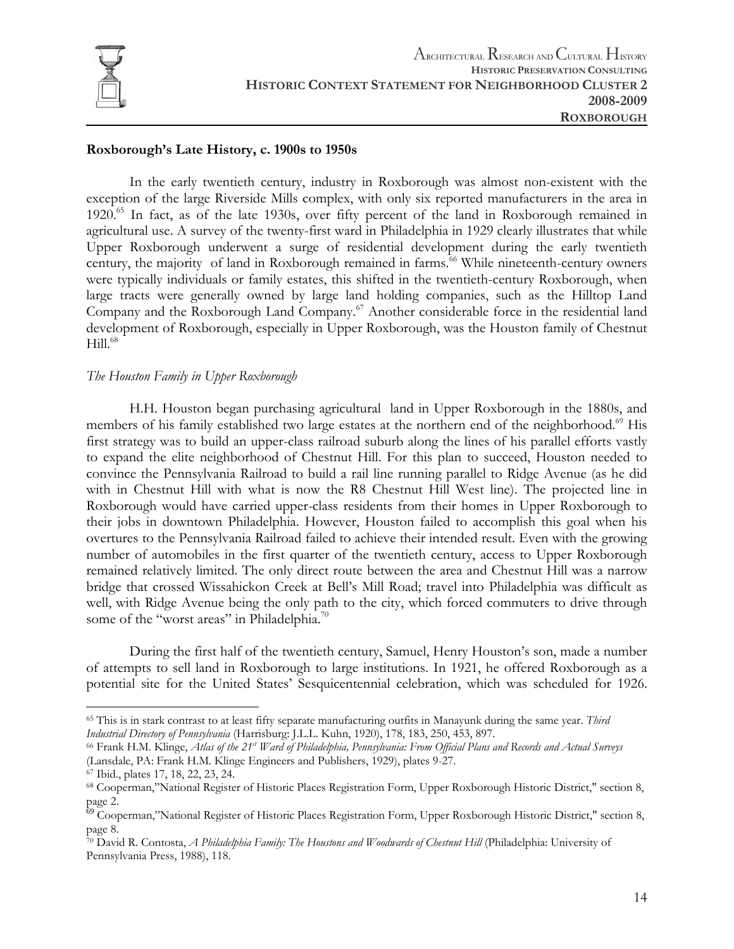

#### **Roxborough's Late History, c. 1900s to 1950s**

 In the early twentieth century, industry in Roxborough was almost non-existent with the exception of the large Riverside Mills complex, with only six reported manufacturers in the area in 1920.<sup>65</sup> In fact, as of the late 1930s, over fifty percent of the land in Roxborough remained in agricultural use. A survey of the twenty-first ward in Philadelphia in 1929 clearly illustrates that while Upper Roxborough underwent a surge of residential development during the early twentieth century, the majority of land in Roxborough remained in farms.<sup>66</sup> While nineteenth-century owners were typically individuals or family estates, this shifted in the twentieth-century Roxborough, when large tracts were generally owned by large land holding companies, such as the Hilltop Land Company and the Roxborough Land Company.<sup>67</sup> Another considerable force in the residential land development of Roxborough, especially in Upper Roxborough, was the Houston family of Chestnut  $Hill.<sup>68</sup>$ 

#### *The Houston Family in Upper Roxborough*

 H.H. Houston began purchasing agricultural land in Upper Roxborough in the 1880s, and members of his family established two large estates at the northern end of the neighborhood.<sup>69</sup> His first strategy was to build an upper-class railroad suburb along the lines of his parallel efforts vastly to expand the elite neighborhood of Chestnut Hill. For this plan to succeed, Houston needed to convince the Pennsylvania Railroad to build a rail line running parallel to Ridge Avenue (as he did with in Chestnut Hill with what is now the R8 Chestnut Hill West line). The projected line in Roxborough would have carried upper-class residents from their homes in Upper Roxborough to their jobs in downtown Philadelphia. However, Houston failed to accomplish this goal when his overtures to the Pennsylvania Railroad failed to achieve their intended result. Even with the growing number of automobiles in the first quarter of the twentieth century, access to Upper Roxborough remained relatively limited. The only direct route between the area and Chestnut Hill was a narrow bridge that crossed Wissahickon Creek at Bell's Mill Road; travel into Philadelphia was difficult as well, with Ridge Avenue being the only path to the city, which forced commuters to drive through some of the "worst areas" in Philadelphia.<sup>70</sup>

During the first half of the twentieth century, Samuel, Henry Houston's son, made a number of attempts to sell land in Roxborough to large institutions. In 1921, he offered Roxborough as a potential site for the United States' Sesquicentennial celebration, which was scheduled for 1926.

<sup>65</sup> This is in stark contrast to at least fifty separate manufacturing outfits in Manayunk during the same year. *Third*  Industrial Directory of Pennsylvania (Harrisburg: J.L.L. Kuhn, 1920), 178, 183, 250, 453, 897.<br><sup>66</sup> Frank H.M. Klinge, Atlas of the 21<sup>st</sup> Ward of Philadelphia, Pennsylvania: From Official Plans and Records and Actual Surv

<sup>(</sup>Lansdale, PA: Frank H.M. Klinge Engineers and Publishers, 1929), plates 9-27. 67 Ibid., plates 17, 18, 22, 23, 24.

<sup>68</sup> Cooperman,"National Register of Historic Places Registration Form, Upper Roxborough Historic District," section 8, page 2.

<sup>&</sup>lt;sup>69</sup> Cooperman,"National Register of Historic Places Registration Form, Upper Roxborough Historic District," section 8, page 8.

<sup>70</sup> David R. Contosta, *A Philadelphia Family: The Houstons and Woodwards of Chestnut Hill* (Philadelphia: University of Pennsylvania Press, 1988), 118.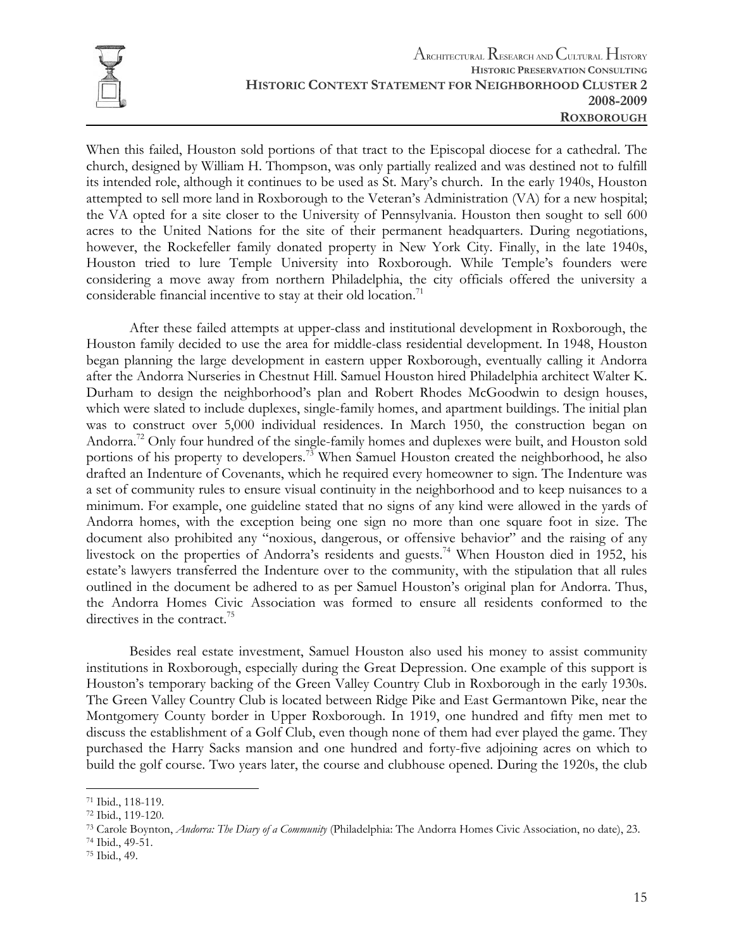

When this failed, Houston sold portions of that tract to the Episcopal diocese for a cathedral. The church, designed by William H. Thompson, was only partially realized and was destined not to fulfill its intended role, although it continues to be used as St. Mary's church. In the early 1940s, Houston attempted to sell more land in Roxborough to the Veteran's Administration (VA) for a new hospital; the VA opted for a site closer to the University of Pennsylvania. Houston then sought to sell 600 acres to the United Nations for the site of their permanent headquarters. During negotiations, however, the Rockefeller family donated property in New York City. Finally, in the late 1940s, Houston tried to lure Temple University into Roxborough. While Temple's founders were considering a move away from northern Philadelphia, the city officials offered the university a considerable financial incentive to stay at their old location.<sup>71</sup>

After these failed attempts at upper-class and institutional development in Roxborough, the Houston family decided to use the area for middle-class residential development. In 1948, Houston began planning the large development in eastern upper Roxborough, eventually calling it Andorra after the Andorra Nurseries in Chestnut Hill. Samuel Houston hired Philadelphia architect Walter K. Durham to design the neighborhood's plan and Robert Rhodes McGoodwin to design houses, which were slated to include duplexes, single-family homes, and apartment buildings. The initial plan was to construct over 5,000 individual residences. In March 1950, the construction began on Andorra.<sup>72</sup> Only four hundred of the single-family homes and duplexes were built, and Houston sold portions of his property to developers.<sup>73</sup> When Samuel Houston created the neighborhood, he also drafted an Indenture of Covenants, which he required every homeowner to sign. The Indenture was a set of community rules to ensure visual continuity in the neighborhood and to keep nuisances to a minimum. For example, one guideline stated that no signs of any kind were allowed in the yards of Andorra homes, with the exception being one sign no more than one square foot in size. The document also prohibited any "noxious, dangerous, or offensive behavior" and the raising of any livestock on the properties of Andorra's residents and guests.<sup>74</sup> When Houston died in 1952, his estate's lawyers transferred the Indenture over to the community, with the stipulation that all rules outlined in the document be adhered to as per Samuel Houston's original plan for Andorra. Thus, the Andorra Homes Civic Association was formed to ensure all residents conformed to the directives in the contract.<sup>75</sup>

Besides real estate investment, Samuel Houston also used his money to assist community institutions in Roxborough, especially during the Great Depression. One example of this support is Houston's temporary backing of the Green Valley Country Club in Roxborough in the early 1930s. The Green Valley Country Club is located between Ridge Pike and East Germantown Pike, near the Montgomery County border in Upper Roxborough. In 1919, one hundred and fifty men met to discuss the establishment of a Golf Club, even though none of them had ever played the game. They purchased the Harry Sacks mansion and one hundred and forty-five adjoining acres on which to build the golf course. Two years later, the course and clubhouse opened. During the 1920s, the club

<sup>71</sup> Ibid., 118-119.

<sup>72</sup> Ibid., 119-120.

<sup>73</sup> Carole Boynton, *Andorra: The Diary of a Community* (Philadelphia: The Andorra Homes Civic Association, no date), 23. 74 Ibid., 49-51.

<sup>75</sup> Ibid., 49.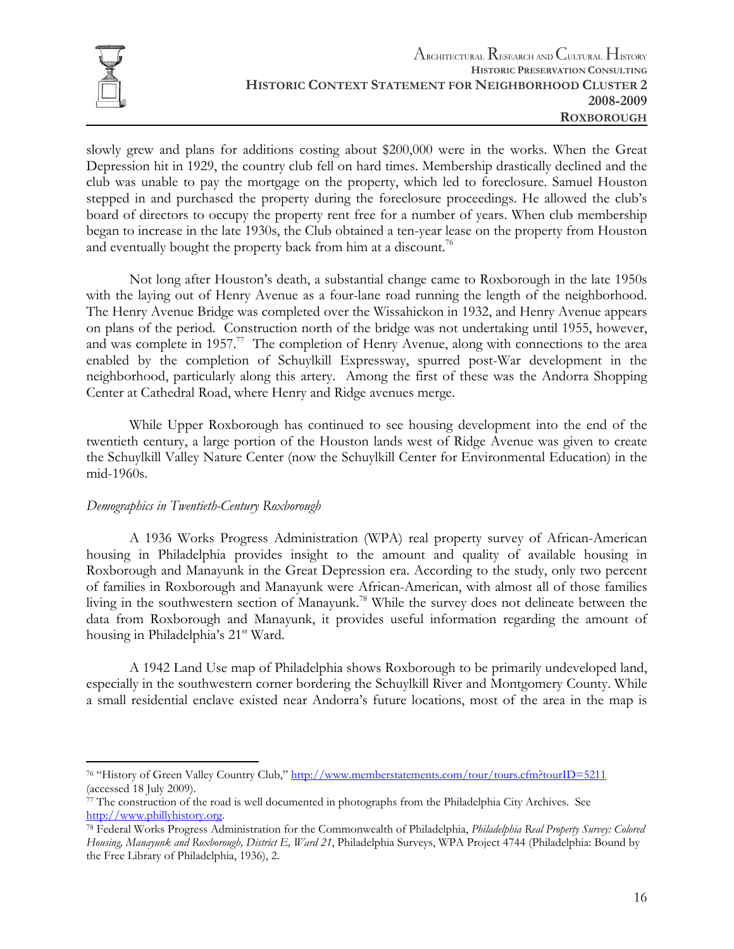

slowly grew and plans for additions costing about \$200,000 were in the works. When the Great Depression hit in 1929, the country club fell on hard times. Membership drastically declined and the club was unable to pay the mortgage on the property, which led to foreclosure. Samuel Houston stepped in and purchased the property during the foreclosure proceedings. He allowed the club's board of directors to occupy the property rent free for a number of years. When club membership began to increase in the late 1930s, the Club obtained a ten-year lease on the property from Houston and eventually bought the property back from him at a discount.<sup>76</sup>

Not long after Houston's death, a substantial change came to Roxborough in the late 1950s with the laying out of Henry Avenue as a four-lane road running the length of the neighborhood. The Henry Avenue Bridge was completed over the Wissahickon in 1932, and Henry Avenue appears on plans of the period. Construction north of the bridge was not undertaking until 1955, however, and was complete in 1957.<sup>77</sup> The completion of Henry Avenue, along with connections to the area enabled by the completion of Schuylkill Expressway, spurred post-War development in the neighborhood, particularly along this artery. Among the first of these was the Andorra Shopping Center at Cathedral Road, where Henry and Ridge avenues merge.

While Upper Roxborough has continued to see housing development into the end of the twentieth century, a large portion of the Houston lands west of Ridge Avenue was given to create the Schuylkill Valley Nature Center (now the Schuylkill Center for Environmental Education) in the mid-1960s.

#### *Demographics in Twentieth-Century Roxborough*

 A 1936 Works Progress Administration (WPA) real property survey of African-American housing in Philadelphia provides insight to the amount and quality of available housing in Roxborough and Manayunk in the Great Depression era. According to the study, only two percent of families in Roxborough and Manayunk were African-American, with almost all of those families living in the southwestern section of Manayunk.<sup>78</sup> While the survey does not delineate between the data from Roxborough and Manayunk, it provides useful information regarding the amount of housing in Philadelphia's 21<sup>st</sup> Ward.

 A 1942 Land Use map of Philadelphia shows Roxborough to be primarily undeveloped land, especially in the southwestern corner bordering the Schuylkill River and Montgomery County. While a small residential enclave existed near Andorra's future locations, most of the area in the map is

 $\overline{a}$ 76 "History of Green Valley Country Club," http://www.memberstatements.com/tour/tours.cfm?tourID=5211 (accessed 18 July 2009).

 $77$  The construction of the road is well documented in photographs from the Philadelphia City Archives. See http://www.phillyhistory.org. 78 Federal Works Progress Administration for the Commonwealth of Philadelphia, *Philadelphia Real Property Survey: Colored* 

*Housing, Manayunk and Roxborough, District E, Ward 21*, Philadelphia Surveys, WPA Project 4744 (Philadelphia: Bound by the Free Library of Philadelphia, 1936), 2.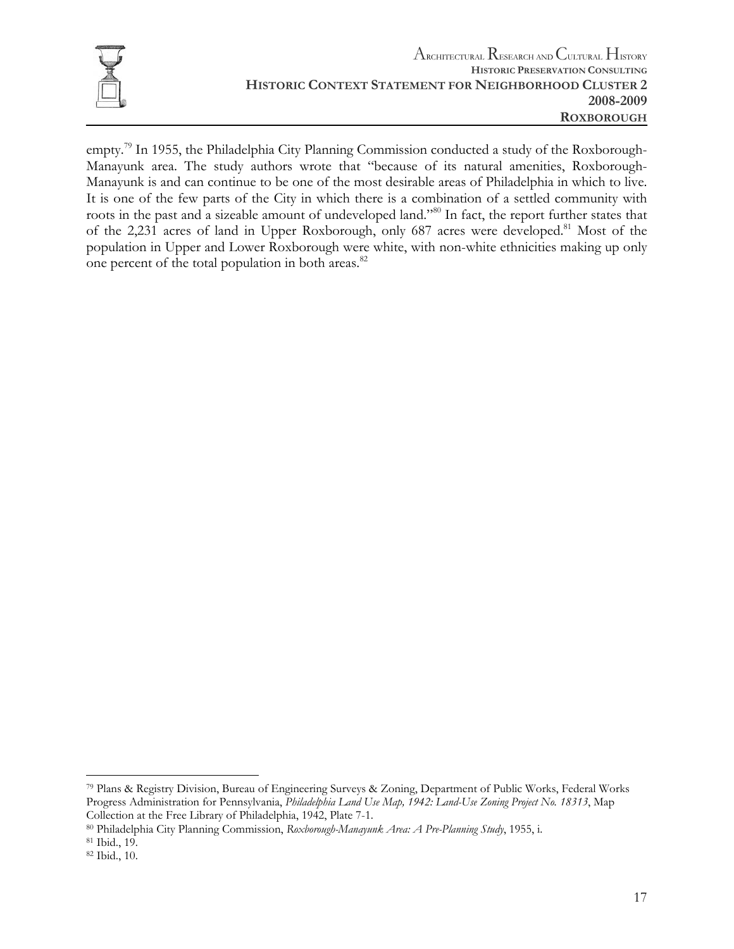

empty.<sup>79</sup> In 1955, the Philadelphia City Planning Commission conducted a study of the Roxborough-Manayunk area. The study authors wrote that "because of its natural amenities, Roxborough-Manayunk is and can continue to be one of the most desirable areas of Philadelphia in which to live. It is one of the few parts of the City in which there is a combination of a settled community with roots in the past and a sizeable amount of undeveloped land."80 In fact, the report further states that of the 2,231 acres of land in Upper Roxborough, only 687 acres were developed.<sup>81</sup> Most of the population in Upper and Lower Roxborough were white, with non-white ethnicities making up only one percent of the total population in both areas.<sup>82</sup>

<sup>79</sup> Plans & Registry Division, Bureau of Engineering Surveys & Zoning, Department of Public Works, Federal Works Progress Administration for Pennsylvania, *Philadelphia Land Use Map, 1942: Land-Use Zoning Project No. 18313*, Map Collection at the Free Library of Philadelphia, 1942, Plate 7-1.<br><sup>80</sup> Philadelphia City Planning Commission, *Roxborough-Manayunk Area: A Pre-Planning Study*, 1955, i.<br><sup>81</sup> Ibid., 19.

<sup>82</sup> Ibid., 10.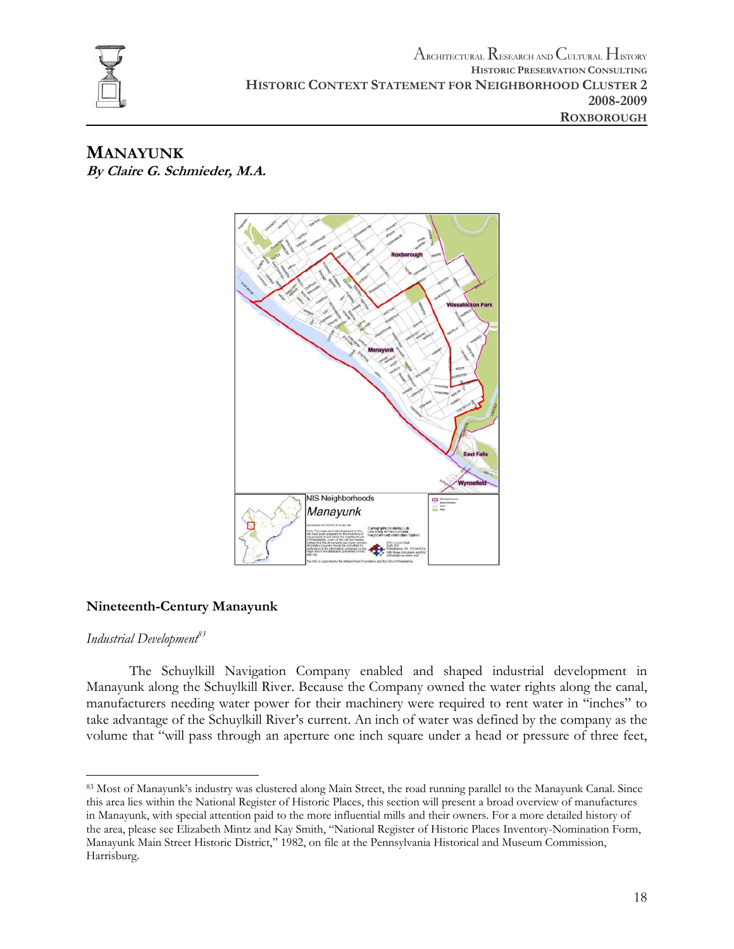

**MANAYUNK By Claire G. Schmieder, M.A.** 



### **Nineteenth-Century Manayunk**

#### *Industrial Development83*

 The Schuylkill Navigation Company enabled and shaped industrial development in Manayunk along the Schuylkill River. Because the Company owned the water rights along the canal, manufacturers needing water power for their machinery were required to rent water in "inches" to take advantage of the Schuylkill River's current. An inch of water was defined by the company as the volume that "will pass through an aperture one inch square under a head or pressure of three feet,

 $\overline{a}$ 83 Most of Manayunk's industry was clustered along Main Street, the road running parallel to the Manayunk Canal. Since this area lies within the National Register of Historic Places, this section will present a broad overview of manufactures in Manayunk, with special attention paid to the more influential mills and their owners. For a more detailed history of the area, please see Elizabeth Mintz and Kay Smith, "National Register of Historic Places Inventory-Nomination Form, Manayunk Main Street Historic District," 1982, on file at the Pennsylvania Historical and Museum Commission, Harrisburg.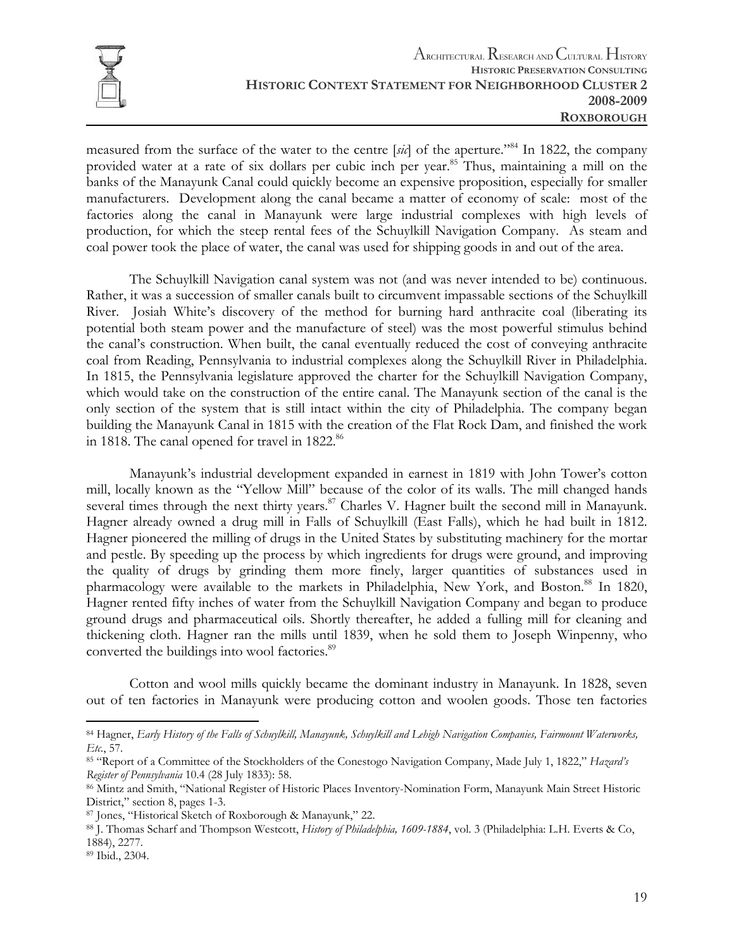

measured from the surface of the water to the centre [*sic*] of the aperture."84 In 1822, the company provided water at a rate of six dollars per cubic inch per year.<sup>85</sup> Thus, maintaining a mill on the banks of the Manayunk Canal could quickly become an expensive proposition, especially for smaller manufacturers. Development along the canal became a matter of economy of scale: most of the factories along the canal in Manayunk were large industrial complexes with high levels of production, for which the steep rental fees of the Schuylkill Navigation Company. As steam and coal power took the place of water, the canal was used for shipping goods in and out of the area.

The Schuylkill Navigation canal system was not (and was never intended to be) continuous. Rather, it was a succession of smaller canals built to circumvent impassable sections of the Schuylkill River. Josiah White's discovery of the method for burning hard anthracite coal (liberating its potential both steam power and the manufacture of steel) was the most powerful stimulus behind the canal's construction. When built, the canal eventually reduced the cost of conveying anthracite coal from Reading, Pennsylvania to industrial complexes along the Schuylkill River in Philadelphia. In 1815, the Pennsylvania legislature approved the charter for the Schuylkill Navigation Company, which would take on the construction of the entire canal. The Manayunk section of the canal is the only section of the system that is still intact within the city of Philadelphia. The company began building the Manayunk Canal in 1815 with the creation of the Flat Rock Dam, and finished the work in 1818. The canal opened for travel in 1822.<sup>86</sup>

 Manayunk's industrial development expanded in earnest in 1819 with John Tower's cotton mill, locally known as the "Yellow Mill" because of the color of its walls. The mill changed hands several times through the next thirty years.<sup>87</sup> Charles V. Hagner built the second mill in Manayunk. Hagner already owned a drug mill in Falls of Schuylkill (East Falls), which he had built in 1812. Hagner pioneered the milling of drugs in the United States by substituting machinery for the mortar and pestle. By speeding up the process by which ingredients for drugs were ground, and improving the quality of drugs by grinding them more finely, larger quantities of substances used in pharmacology were available to the markets in Philadelphia, New York, and Boston.<sup>88</sup> In 1820, Hagner rented fifty inches of water from the Schuylkill Navigation Company and began to produce ground drugs and pharmaceutical oils. Shortly thereafter, he added a fulling mill for cleaning and thickening cloth. Hagner ran the mills until 1839, when he sold them to Joseph Winpenny, who converted the buildings into wool factories.<sup>89</sup>

 Cotton and wool mills quickly became the dominant industry in Manayunk. In 1828, seven out of ten factories in Manayunk were producing cotton and woolen goods. Those ten factories

<sup>84</sup> Hagner, *Early History of the Falls of Schuylkill, Manayunk, Schuylkill and Lehigh Navigation Companies, Fairmount Waterworks, Etc.*, 57.<br><sup>85</sup> "Report of a Committee of the Stockholders of the Conestogo Navigation Company, Made July 1, 1822," *Hazard's* 

*Register of Pennsylvania* 10.4 (28 July 1833): 58.<br><sup>86</sup> Mintz and Smith, "National Register of Historic Places Inventory-Nomination Form, Manayunk Main Street Historic District," section 8, pages 1-3.

<sup>87</sup> Jones, "Historical Sketch of Roxborough & Manayunk," 22.<br>88 J. Thomas Scharf and Thompson Westcott, *History of Philadelphia, 1609-1884*, vol. 3 (Philadelphia: L.H. Everts & Co, 1884), 2277.

<sup>89</sup> Ibid., 2304.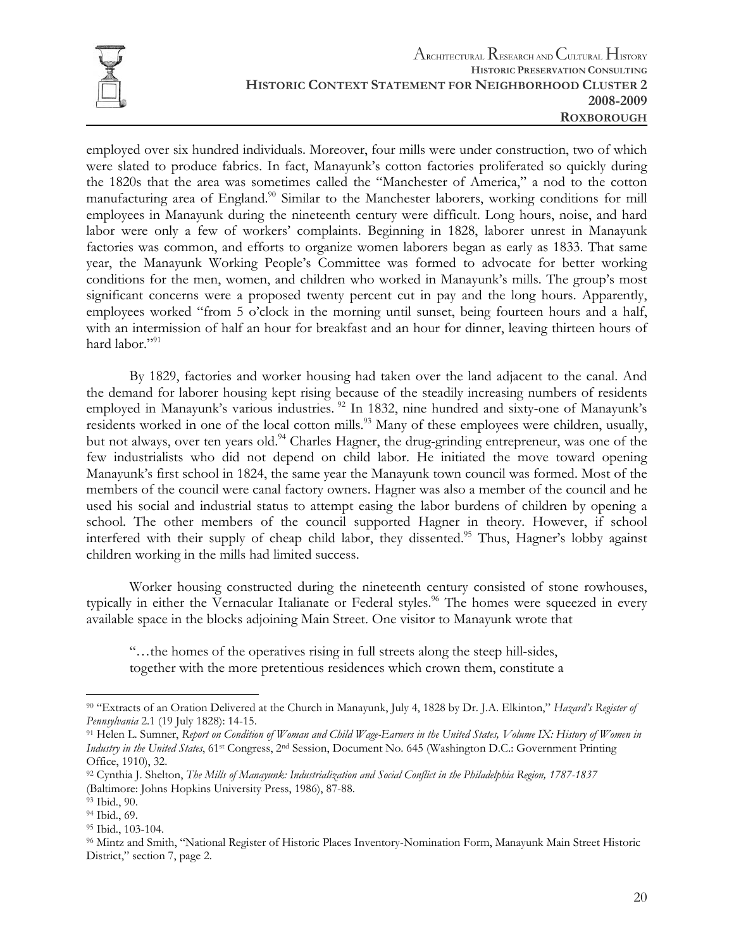

employed over six hundred individuals. Moreover, four mills were under construction, two of which were slated to produce fabrics. In fact, Manayunk's cotton factories proliferated so quickly during the 1820s that the area was sometimes called the "Manchester of America," a nod to the cotton manufacturing area of England.<sup>90</sup> Similar to the Manchester laborers, working conditions for mill employees in Manayunk during the nineteenth century were difficult. Long hours, noise, and hard labor were only a few of workers' complaints. Beginning in 1828, laborer unrest in Manayunk factories was common, and efforts to organize women laborers began as early as 1833. That same year, the Manayunk Working People's Committee was formed to advocate for better working conditions for the men, women, and children who worked in Manayunk's mills. The group's most significant concerns were a proposed twenty percent cut in pay and the long hours. Apparently, employees worked "from 5 o'clock in the morning until sunset, being fourteen hours and a half, with an intermission of half an hour for breakfast and an hour for dinner, leaving thirteen hours of hard labor."<sup>91</sup>

 By 1829, factories and worker housing had taken over the land adjacent to the canal. And the demand for laborer housing kept rising because of the steadily increasing numbers of residents employed in Manayunk's various industries. <sup>92</sup> In 1832, nine hundred and sixty-one of Manayunk's residents worked in one of the local cotton mills.<sup>93</sup> Many of these employees were children, usually, but not always, over ten years old.<sup>94</sup> Charles Hagner, the drug-grinding entrepreneur, was one of the few industrialists who did not depend on child labor. He initiated the move toward opening Manayunk's first school in 1824, the same year the Manayunk town council was formed. Most of the members of the council were canal factory owners. Hagner was also a member of the council and he used his social and industrial status to attempt easing the labor burdens of children by opening a school. The other members of the council supported Hagner in theory. However, if school interfered with their supply of cheap child labor, they dissented.<sup>95</sup> Thus, Hagner's lobby against children working in the mills had limited success.

 Worker housing constructed during the nineteenth century consisted of stone rowhouses, typically in either the Vernacular Italianate or Federal styles.<sup>96</sup> The homes were squeezed in every available space in the blocks adjoining Main Street. One visitor to Manayunk wrote that

"…the homes of the operatives rising in full streets along the steep hill-sides,

together with the more pretentious residences which crown them, constitute a

 $\overline{a}$ 90 "Extracts of an Oration Delivered at the Church in Manayunk, July 4, 1828 by Dr. J.A. Elkinton," *Hazard's Register of Pennsylvania* 2.1 (19 July 1828): 14-15.<br><sup>91</sup> Helen L. Sumner, *Report on Condition of Woman and Child Wage-Earners in the United States, Volume IX: History of Women in* 

*Industry in the United States*, 61st Congress, 2nd Session, Document No. 645 (Washington D.C.: Government Printing Office, 1910), 32.

<sup>92</sup> Cynthia J. Shelton, *The Mills of Manayunk: Industrialization and Social Conflict in the Philadelphia Region, 1787-1837* (Baltimore: Johns Hopkins University Press, 1986), 87-88.

<sup>93</sup> Ibid., 90.

<sup>94</sup> Ibid., 69.

<sup>95</sup> Ibid., 103-104.

<sup>96</sup> Mintz and Smith, "National Register of Historic Places Inventory-Nomination Form, Manayunk Main Street Historic District," section 7, page 2.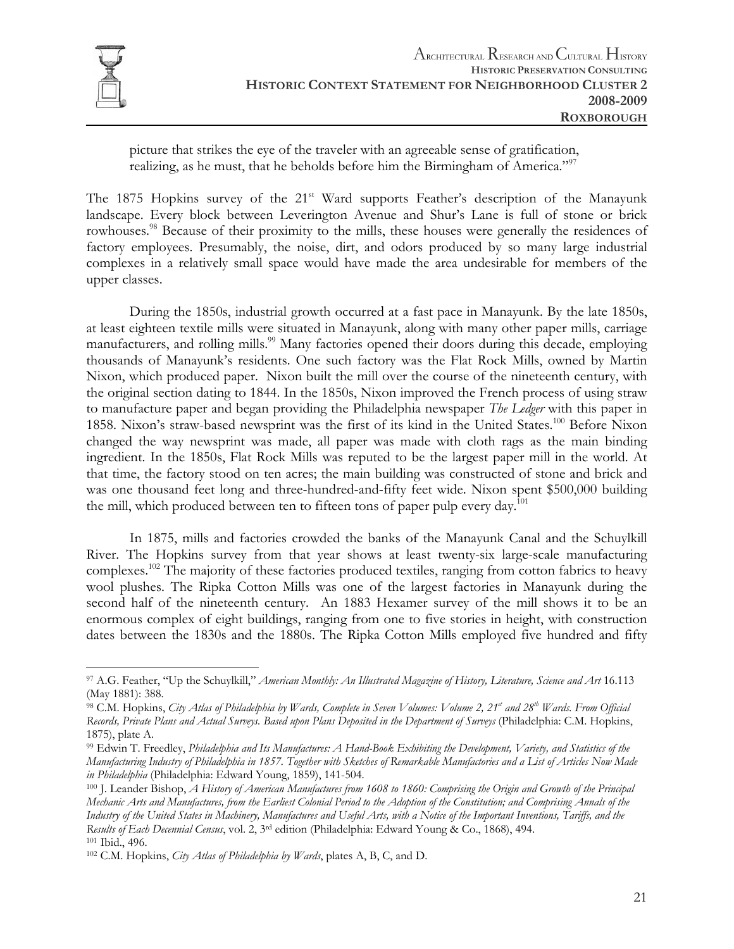

 $\overline{a}$ 

picture that strikes the eye of the traveler with an agreeable sense of gratification, realizing, as he must, that he beholds before him the Birmingham of America."<sup>97</sup>

The 1875 Hopkins survey of the 21<sup>st</sup> Ward supports Feather's description of the Manayunk landscape. Every block between Leverington Avenue and Shur's Lane is full of stone or brick rowhouses.<sup>98</sup> Because of their proximity to the mills, these houses were generally the residences of factory employees. Presumably, the noise, dirt, and odors produced by so many large industrial complexes in a relatively small space would have made the area undesirable for members of the upper classes.

 During the 1850s, industrial growth occurred at a fast pace in Manayunk. By the late 1850s, at least eighteen textile mills were situated in Manayunk, along with many other paper mills, carriage manufacturers, and rolling mills.<sup>99</sup> Many factories opened their doors during this decade, employing thousands of Manayunk's residents. One such factory was the Flat Rock Mills, owned by Martin Nixon, which produced paper. Nixon built the mill over the course of the nineteenth century, with the original section dating to 1844. In the 1850s, Nixon improved the French process of using straw to manufacture paper and began providing the Philadelphia newspaper *The Ledger* with this paper in 1858. Nixon's straw-based newsprint was the first of its kind in the United States.100 Before Nixon changed the way newsprint was made, all paper was made with cloth rags as the main binding ingredient. In the 1850s, Flat Rock Mills was reputed to be the largest paper mill in the world. At that time, the factory stood on ten acres; the main building was constructed of stone and brick and was one thousand feet long and three-hundred-and-fifty feet wide. Nixon spent \$500,000 building the mill, which produced between ten to fifteen tons of paper pulp every day.<sup>101</sup>

In 1875, mills and factories crowded the banks of the Manayunk Canal and the Schuylkill River. The Hopkins survey from that year shows at least twenty-six large-scale manufacturing complexes.<sup>102</sup> The majority of these factories produced textiles, ranging from cotton fabrics to heavy wool plushes. The Ripka Cotton Mills was one of the largest factories in Manayunk during the second half of the nineteenth century. An 1883 Hexamer survey of the mill shows it to be an enormous complex of eight buildings, ranging from one to five stories in height, with construction dates between the 1830s and the 1880s. The Ripka Cotton Mills employed five hundred and fifty

<sup>97</sup> A.G. Feather, "Up the Schuylkill," *American Monthly: An Illustrated Magazine of History, Literature, Science and Art* 16.113 (May 1881): 388.

<sup>&</sup>lt;sup>98</sup> C.M. Hopkins, *City Atlas of Philadelphia by Wards, Complete in Seven Volumes: Volume 2, 21<sup>st</sup> and 28<sup>th</sup> Wards. From Official Records, Private Plans and Actual Surveys. Based upon Plans Deposited in the Department of Surveys* (Philadelphia: C.M. Hopkins, 1875), plate A.

<sup>99</sup> Edwin T. Freedley, *Philadelphia and Its Manufactures: A Hand-Book Exhibiting the Development, Variety, and Statistics of the Manufacturing Industry of Philadelphia in 1857. Together with Sketches of Remarkable Manufactories and a List of Articles Now Made in Philadelphia* (Philadelphia: Edward Young, 1859), 141-504.<br><sup>100</sup> J. Leander Bishop, *A History of American Manufactures from 1608 to 1860: Comprising the Origin and Growth of the Principal* 

*Mechanic Arts and Manufactures, from the Earliest Colonial Period to the Adoption of the Constitution; and Comprising Annals of the Industry of the United States in Machinery, Manufactures and Useful Arts, with a Notice of the Important Inventions, Tariffs, and the Results of Each Decennial Census*, vol. 2, 3<sup>rd</sup> edition (Philadelphia: Edward Young & Co., 1868), 494.<br><sup>101</sup> Ibid., 496.<br><sup>102</sup> C.M. Hopkins, *City Atlas of Philadelphia by Wards*, plates A, B, C, and D.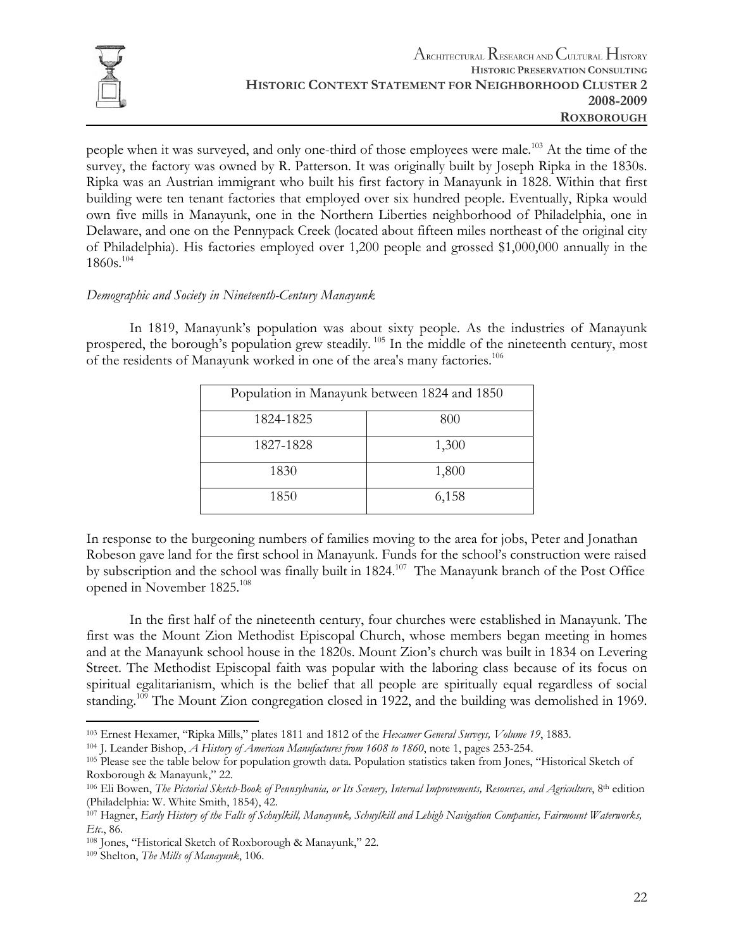

people when it was surveyed, and only one-third of those employees were male.<sup>103</sup> At the time of the survey, the factory was owned by R. Patterson. It was originally built by Joseph Ripka in the 1830s. Ripka was an Austrian immigrant who built his first factory in Manayunk in 1828. Within that first building were ten tenant factories that employed over six hundred people. Eventually, Ripka would own five mills in Manayunk, one in the Northern Liberties neighborhood of Philadelphia, one in Delaware, and one on the Pennypack Creek (located about fifteen miles northeast of the original city of Philadelphia). His factories employed over 1,200 people and grossed \$1,000,000 annually in the 1860s.104

#### *Demographic and Society in Nineteenth-Century Manayunk*

In 1819, Manayunk's population was about sixty people. As the industries of Manayunk prospered, the borough's population grew steadily.<sup>105</sup> In the middle of the nineteenth century, most of the residents of Manayunk worked in one of the area's many factories.106

| Population in Manayunk between 1824 and 1850 |       |  |
|----------------------------------------------|-------|--|
| 1824-1825                                    | 800   |  |
| 1827-1828                                    | 1,300 |  |
| 1830                                         | 1,800 |  |
| 1850                                         | 6,158 |  |

In response to the burgeoning numbers of families moving to the area for jobs, Peter and Jonathan Robeson gave land for the first school in Manayunk. Funds for the school's construction were raised by subscription and the school was finally built in 1824.<sup>107</sup> The Manayunk branch of the Post Office opened in November 1825.108

 In the first half of the nineteenth century, four churches were established in Manayunk. The first was the Mount Zion Methodist Episcopal Church, whose members began meeting in homes and at the Manayunk school house in the 1820s. Mount Zion's church was built in 1834 on Levering Street. The Methodist Episcopal faith was popular with the laboring class because of its focus on spiritual egalitarianism, which is the belief that all people are spiritually equal regardless of social standing.109 The Mount Zion congregation closed in 1922, and the building was demolished in 1969.

<sup>1</sup> 

<sup>&</sup>lt;sup>103</sup> Ernest Hexamer, "Ripka Mills," plates 1811 and 1812 of the *Hexamer General Surveys, Volume 19*, 1883.<br><sup>104</sup> J. Leander Bishop, *A History of American Manufactures from 1608 to 1860*, note 1, pages 253-254.<br><sup>105</sup> Ple Roxborough & Manayunk," 22.

<sup>&</sup>lt;sup>106</sup> Eli Bowen, *The Pictorial Sketch-Book of Pennsylvania, or Its Scenery, Internal Improvements, Resources, and Agriculture*, 8<sup>th</sup> edition (Philadelphia: W. White Smith, 1854), 42.<br><sup>107</sup> Hagner, *Early History of the Falls of Schuylkill, Manayunk, Schuylkill and Lehigh Navigation Companies, Fairmount Waterworks,* 

*Etc*., 86. 108 Jones, "Historical Sketch of Roxborough & Manayunk," 22. 109 Shelton, *The Mills of Manayunk*, 106.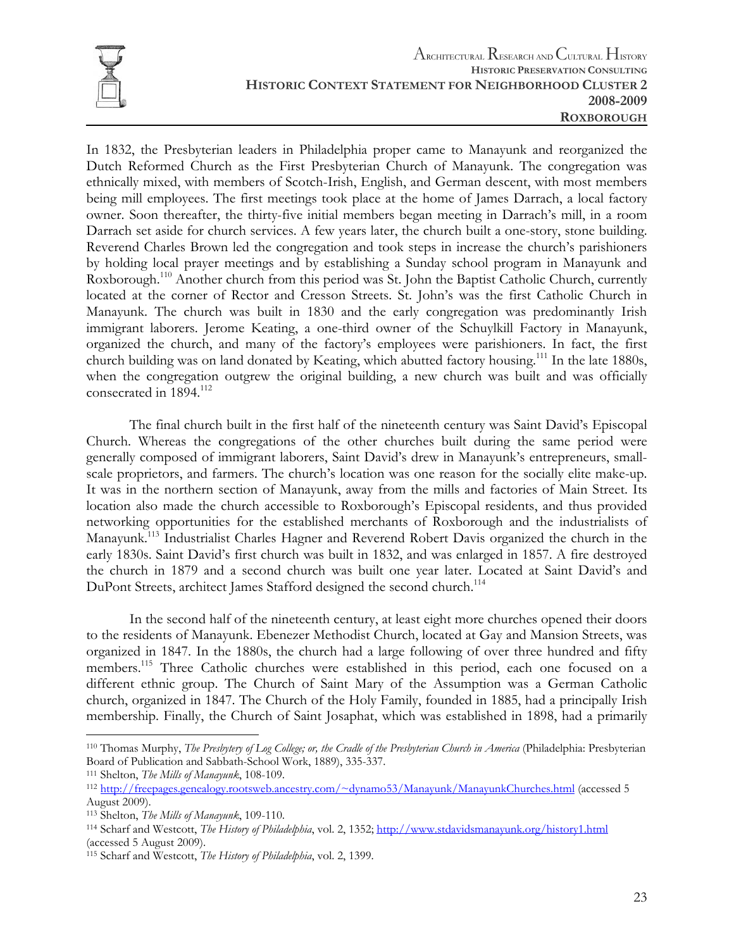

In 1832, the Presbyterian leaders in Philadelphia proper came to Manayunk and reorganized the Dutch Reformed Church as the First Presbyterian Church of Manayunk. The congregation was ethnically mixed, with members of Scotch-Irish, English, and German descent, with most members being mill employees. The first meetings took place at the home of James Darrach, a local factory owner. Soon thereafter, the thirty-five initial members began meeting in Darrach's mill, in a room Darrach set aside for church services. A few years later, the church built a one-story, stone building. Reverend Charles Brown led the congregation and took steps in increase the church's parishioners by holding local prayer meetings and by establishing a Sunday school program in Manayunk and Roxborough.<sup>110</sup> Another church from this period was St. John the Baptist Catholic Church, currently located at the corner of Rector and Cresson Streets. St. John's was the first Catholic Church in Manayunk. The church was built in 1830 and the early congregation was predominantly Irish immigrant laborers. Jerome Keating, a one-third owner of the Schuylkill Factory in Manayunk, organized the church, and many of the factory's employees were parishioners. In fact, the first church building was on land donated by Keating, which abutted factory housing.111 In the late 1880s, when the congregation outgrew the original building, a new church was built and was officially consecrated in 1894.<sup>112</sup>

 The final church built in the first half of the nineteenth century was Saint David's Episcopal Church. Whereas the congregations of the other churches built during the same period were generally composed of immigrant laborers, Saint David's drew in Manayunk's entrepreneurs, smallscale proprietors, and farmers. The church's location was one reason for the socially elite make-up. It was in the northern section of Manayunk, away from the mills and factories of Main Street. Its location also made the church accessible to Roxborough's Episcopal residents, and thus provided networking opportunities for the established merchants of Roxborough and the industrialists of Manayunk.<sup>113</sup> Industrialist Charles Hagner and Reverend Robert Davis organized the church in the early 1830s. Saint David's first church was built in 1832, and was enlarged in 1857. A fire destroyed the church in 1879 and a second church was built one year later. Located at Saint David's and DuPont Streets, architect James Stafford designed the second church.<sup>114</sup>

 In the second half of the nineteenth century, at least eight more churches opened their doors to the residents of Manayunk. Ebenezer Methodist Church, located at Gay and Mansion Streets, was organized in 1847. In the 1880s, the church had a large following of over three hundred and fifty members.115 Three Catholic churches were established in this period, each one focused on a different ethnic group. The Church of Saint Mary of the Assumption was a German Catholic church, organized in 1847. The Church of the Holy Family, founded in 1885, had a principally Irish membership. Finally, the Church of Saint Josaphat, which was established in 1898, had a primarily

 $\overline{a}$ 110 Thomas Murphy, *The Presbytery of Log College; or, the Cradle of the Presbyterian Church in America* (Philadelphia: Presbyterian Board of Publication and Sabbath-School Work, 1889), 335-337.<br><sup>111</sup> Shelton, *The Mills of Manayunk*, 108-109.<br><sup>112</sup> http://freepages.genealogy.rootsweb.ancestry.com/~dynamo53/Manayunk/ManayunkChurches.html (accessed 5

August 2009).<br><sup>113</sup> Shelton, *The Mills of Manayunk*, 109-110.

<sup>113</sup> Shelton, *The Mills of Manayunk*, 109-110. 114 Scharf and Westcott, *The History of Philadelphia*, vol. 2, 1352; http://www.stdavidsmanayunk.org/history1.html (accessed 5 August 2009).

<sup>115</sup> Scharf and Westcott, *The History of Philadelphia*, vol. 2, 1399.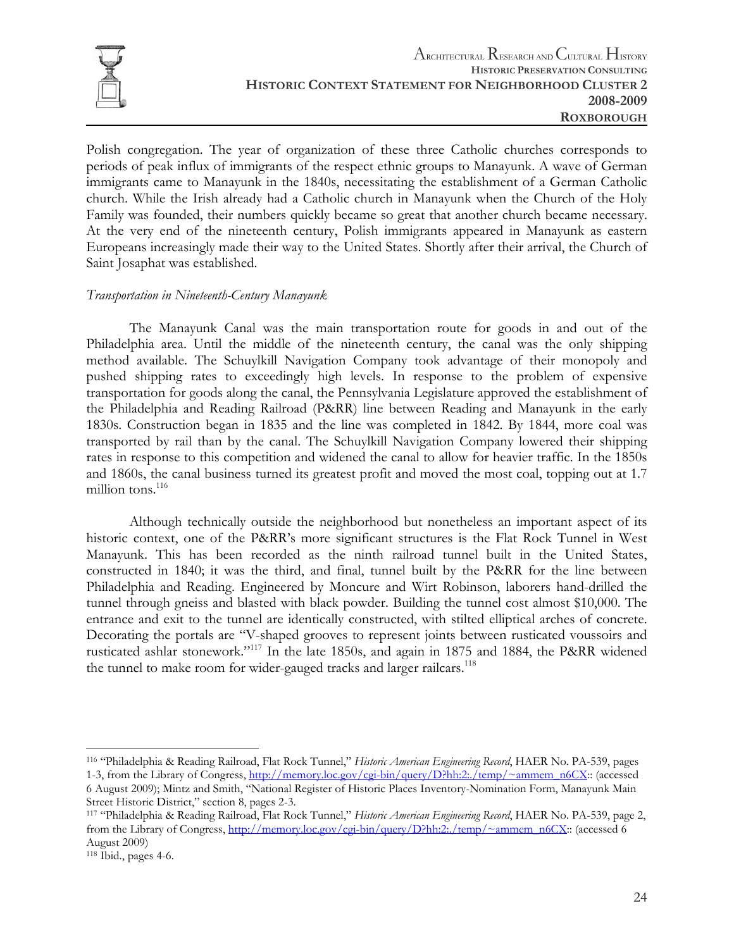

Polish congregation. The year of organization of these three Catholic churches corresponds to periods of peak influx of immigrants of the respect ethnic groups to Manayunk. A wave of German immigrants came to Manayunk in the 1840s, necessitating the establishment of a German Catholic church. While the Irish already had a Catholic church in Manayunk when the Church of the Holy Family was founded, their numbers quickly became so great that another church became necessary. At the very end of the nineteenth century, Polish immigrants appeared in Manayunk as eastern Europeans increasingly made their way to the United States. Shortly after their arrival, the Church of Saint Josaphat was established.

#### *Transportation in Nineteenth-Century Manayunk*

 The Manayunk Canal was the main transportation route for goods in and out of the Philadelphia area. Until the middle of the nineteenth century, the canal was the only shipping method available. The Schuylkill Navigation Company took advantage of their monopoly and pushed shipping rates to exceedingly high levels. In response to the problem of expensive transportation for goods along the canal, the Pennsylvania Legislature approved the establishment of the Philadelphia and Reading Railroad (P&RR) line between Reading and Manayunk in the early 1830s. Construction began in 1835 and the line was completed in 1842. By 1844, more coal was transported by rail than by the canal. The Schuylkill Navigation Company lowered their shipping rates in response to this competition and widened the canal to allow for heavier traffic. In the 1850s and 1860s, the canal business turned its greatest profit and moved the most coal, topping out at 1.7 million tons.<sup>116</sup>

 Although technically outside the neighborhood but nonetheless an important aspect of its historic context, one of the P&RR's more significant structures is the Flat Rock Tunnel in West Manayunk. This has been recorded as the ninth railroad tunnel built in the United States, constructed in 1840; it was the third, and final, tunnel built by the P&RR for the line between Philadelphia and Reading. Engineered by Moncure and Wirt Robinson, laborers hand-drilled the tunnel through gneiss and blasted with black powder. Building the tunnel cost almost \$10,000. The entrance and exit to the tunnel are identically constructed, with stilted elliptical arches of concrete. Decorating the portals are "V-shaped grooves to represent joints between rusticated voussoirs and rusticated ashlar stonework."117 In the late 1850s, and again in 1875 and 1884, the P&RR widened the tunnel to make room for wider-gauged tracks and larger railcars.<sup>118</sup>

1

<sup>116 &</sup>quot;Philadelphia & Reading Railroad, Flat Rock Tunnel," *Historic American Engineering Record*, HAER No. PA-539, pages 1-3, from the Library of Congress, http://memory.loc.gov/cgi-bin/query/D?hh:2:./temp/~ammem\_n6CX:: (accessed 6 August 2009); Mintz and Smith, "National Register of Historic Places Inventory-Nomination Form, Manayunk Main

Street Historic District," section 8, pages 2-3.<br><sup>117</sup> "Philadelphia & Reading Railroad, Flat Rock Tunnel," *Historic American Engineering Record*, HAER No. PA-539, page 2, from the Library of Congress, http://memory.loc.gov/cgi-bin/query/D?hh:2:./temp/~ammem\_n6CX:: (accessed 6 August 2009)

<sup>118</sup> Ibid., pages 4-6.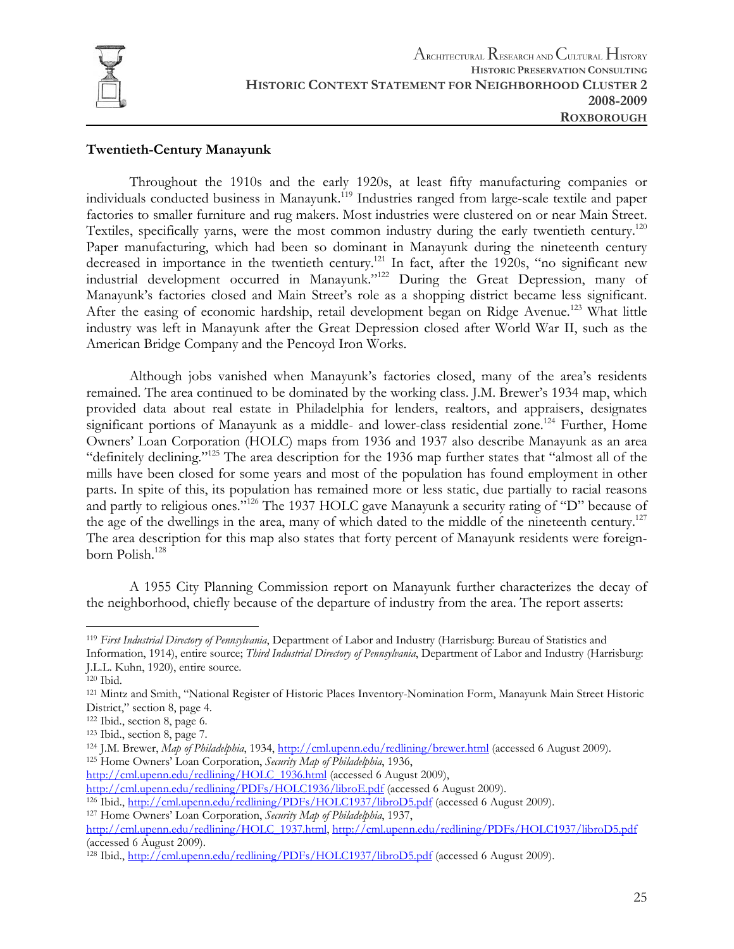

#### **Twentieth-Century Manayunk**

 Throughout the 1910s and the early 1920s, at least fifty manufacturing companies or individuals conducted business in Manayunk.119 Industries ranged from large-scale textile and paper factories to smaller furniture and rug makers. Most industries were clustered on or near Main Street. Textiles, specifically yarns, were the most common industry during the early twentieth century.<sup>120</sup> Paper manufacturing, which had been so dominant in Manayunk during the nineteenth century decreased in importance in the twentieth century.<sup>121</sup> In fact, after the 1920s, "no significant new industrial development occurred in Manayunk."122 During the Great Depression, many of Manayunk's factories closed and Main Street's role as a shopping district became less significant. After the easing of economic hardship, retail development began on Ridge Avenue.<sup>123</sup> What little industry was left in Manayunk after the Great Depression closed after World War II, such as the American Bridge Company and the Pencoyd Iron Works.

 Although jobs vanished when Manayunk's factories closed, many of the area's residents remained. The area continued to be dominated by the working class. J.M. Brewer's 1934 map, which provided data about real estate in Philadelphia for lenders, realtors, and appraisers, designates significant portions of Manayunk as a middle- and lower-class residential zone.<sup>124</sup> Further, Home Owners' Loan Corporation (HOLC) maps from 1936 and 1937 also describe Manayunk as an area "definitely declining."125 The area description for the 1936 map further states that "almost all of the mills have been closed for some years and most of the population has found employment in other parts. In spite of this, its population has remained more or less static, due partially to racial reasons and partly to religious ones."<sup>126</sup> The 1937 HOLC gave Manayunk a security rating of "D" because of the age of the dwellings in the area, many of which dated to the middle of the nineteenth century.<sup>127</sup> The area description for this map also states that forty percent of Manayunk residents were foreignborn Polish.<sup>128</sup>

 A 1955 City Planning Commission report on Manayunk further characterizes the decay of the neighborhood, chiefly because of the departure of industry from the area. The report asserts:

1

<sup>119</sup> *First Industrial Directory of Pennsylvania*, Department of Labor and Industry (Harrisburg: Bureau of Statistics and Information, 1914), entire source; *Third Industrial Directory of Pennsylvania*, Department of Labor and Industry (Harrisburg:

J.L.L. Kuhn, 1920), entire source.

<sup>120</sup> Ibid.<br><sup>121</sup> Mintz and Smith, "National Register of Historic Places Inventory-Nomination Form, Manayunk Main Street Historic District," section 8, page 4.

<sup>&</sup>lt;sup>122</sup> Ibid., section 8, page 6.<br><sup>123</sup> Ibid., section 8, page 7.<br><sup>124</sup> J.M. Brewer, *Map of Philadelphia*, 1934, <u>http://cml.upenn.edu/redlining/brewer.html</u> (accessed 6 August 2009).<br><sup>125</sup> Home Owners' Loan Corporation, *S* 

http://cml.upenn.edu/redlining/HOLC\_1936.html (accessed 6 August 2009),<br>http://cml.upenn.edu/redlining/PDFs/HOLC1936/libroE.pdf (accessed 6 August 2009).

<sup>&</sup>lt;sup>126</sup> Ibid., http://cml.upenn.edu/redlining/PDFs/HOLC1937/libroD5.pdf (accessed 6 August 2009).<br><sup>127</sup> Home Owners' Loan Corporation, *Security Map of Philadelphia*, 1937,

http://cml.upenn.edu/redlining/HOLC\_1937.html, http://cml.upenn.edu/redlining/PDFs/HOLC1937/libroD5.pdf (accessed 6 August 2009).

<sup>&</sup>lt;sup>128</sup> Ibid., http://cml.upenn.edu/redlining/PDFs/HOLC1937/libroD5.pdf (accessed 6 August 2009).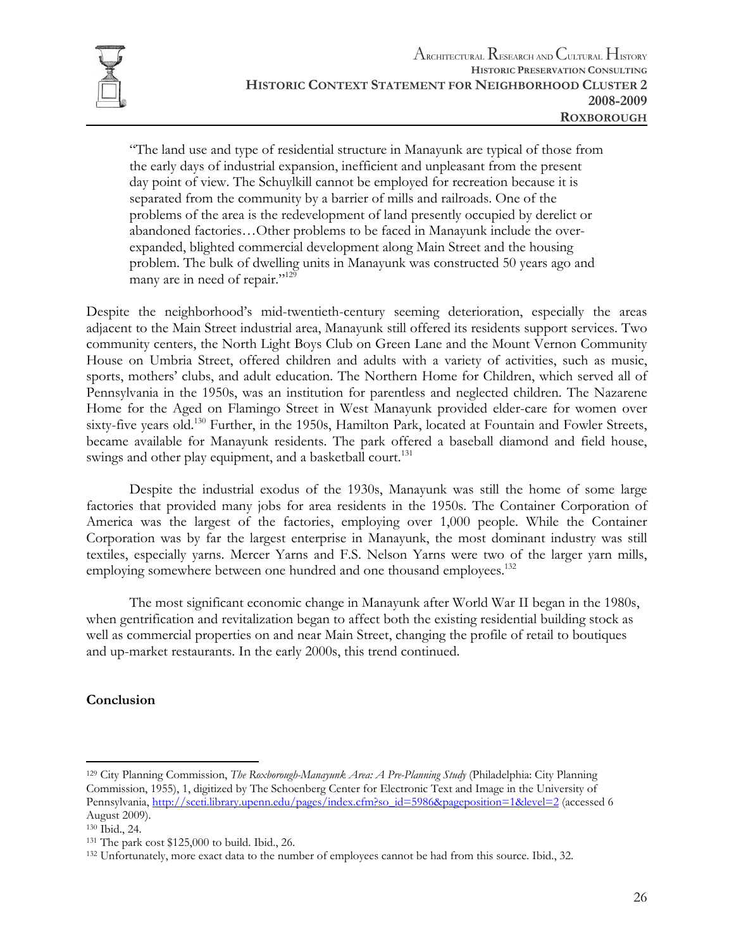

"The land use and type of residential structure in Manayunk are typical of those from the early days of industrial expansion, inefficient and unpleasant from the present day point of view. The Schuylkill cannot be employed for recreation because it is separated from the community by a barrier of mills and railroads. One of the problems of the area is the redevelopment of land presently occupied by derelict or abandoned factories…Other problems to be faced in Manayunk include the overexpanded, blighted commercial development along Main Street and the housing problem. The bulk of dwelling units in Manayunk was constructed 50 years ago and many are in need of repair."<sup>129</sup>

Despite the neighborhood's mid-twentieth-century seeming deterioration, especially the areas adjacent to the Main Street industrial area, Manayunk still offered its residents support services. Two community centers, the North Light Boys Club on Green Lane and the Mount Vernon Community House on Umbria Street, offered children and adults with a variety of activities, such as music, sports, mothers' clubs, and adult education. The Northern Home for Children, which served all of Pennsylvania in the 1950s, was an institution for parentless and neglected children. The Nazarene Home for the Aged on Flamingo Street in West Manayunk provided elder-care for women over sixty-five years old.<sup>130</sup> Further, in the 1950s, Hamilton Park, located at Fountain and Fowler Streets, became available for Manayunk residents. The park offered a baseball diamond and field house, swings and other play equipment, and a basketball court.<sup>131</sup>

 Despite the industrial exodus of the 1930s, Manayunk was still the home of some large factories that provided many jobs for area residents in the 1950s. The Container Corporation of America was the largest of the factories, employing over 1,000 people. While the Container Corporation was by far the largest enterprise in Manayunk, the most dominant industry was still textiles, especially yarns. Mercer Yarns and F.S. Nelson Yarns were two of the larger yarn mills, employing somewhere between one hundred and one thousand employees.<sup>132</sup>

 The most significant economic change in Manayunk after World War II began in the 1980s, when gentrification and revitalization began to affect both the existing residential building stock as well as commercial properties on and near Main Street, changing the profile of retail to boutiques and up-market restaurants. In the early 2000s, this trend continued.

#### **Conclusion**

<sup>129</sup> City Planning Commission, *The Roxborough-Manayunk Area: A Pre-Planning Study* (Philadelphia: City Planning Commission, 1955), 1, digitized by The Schoenberg Center for Electronic Text and Image in the University of Pennsylvania, http://sceti.library.upenn.edu/pages/index.cfm?so\_id=5986&pageposition=1&level=2 (accessed 6 August 2009).

<sup>130</sup> Ibid., 24.<br><sup>131</sup> The park cost \$125,000 to build. Ibid., 26.<br><sup>132</sup> Unfortunately, more exact data to the number of employees cannot be had from this source. Ibid., 32.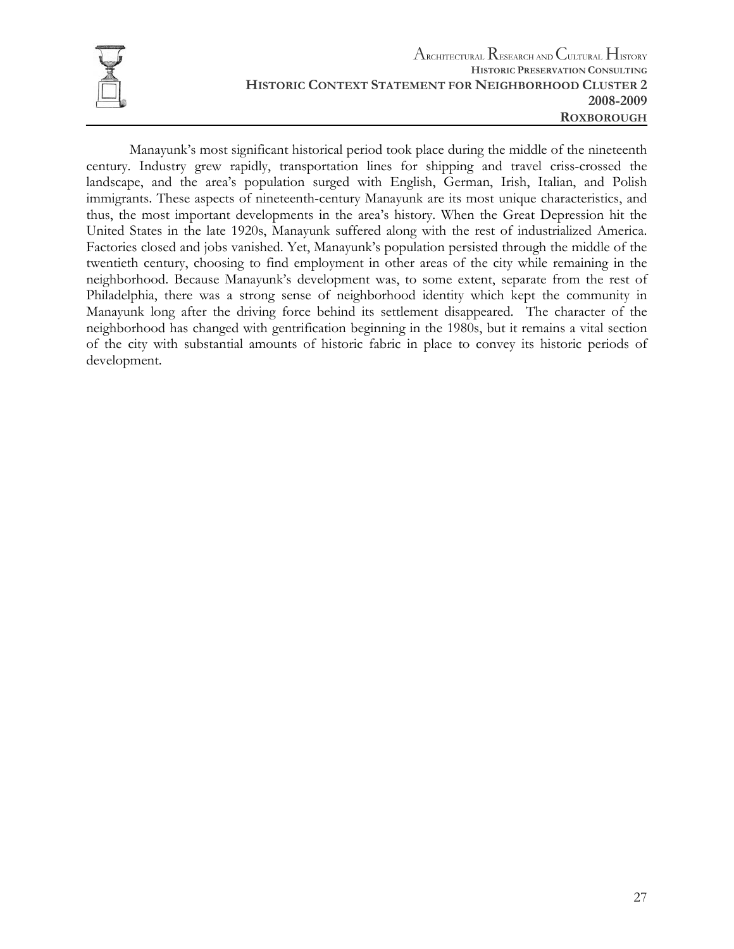

 Manayunk's most significant historical period took place during the middle of the nineteenth century. Industry grew rapidly, transportation lines for shipping and travel criss-crossed the landscape, and the area's population surged with English, German, Irish, Italian, and Polish immigrants. These aspects of nineteenth-century Manayunk are its most unique characteristics, and thus, the most important developments in the area's history. When the Great Depression hit the United States in the late 1920s, Manayunk suffered along with the rest of industrialized America. Factories closed and jobs vanished. Yet, Manayunk's population persisted through the middle of the twentieth century, choosing to find employment in other areas of the city while remaining in the neighborhood. Because Manayunk's development was, to some extent, separate from the rest of Philadelphia, there was a strong sense of neighborhood identity which kept the community in Manayunk long after the driving force behind its settlement disappeared. The character of the neighborhood has changed with gentrification beginning in the 1980s, but it remains a vital section of the city with substantial amounts of historic fabric in place to convey its historic periods of development.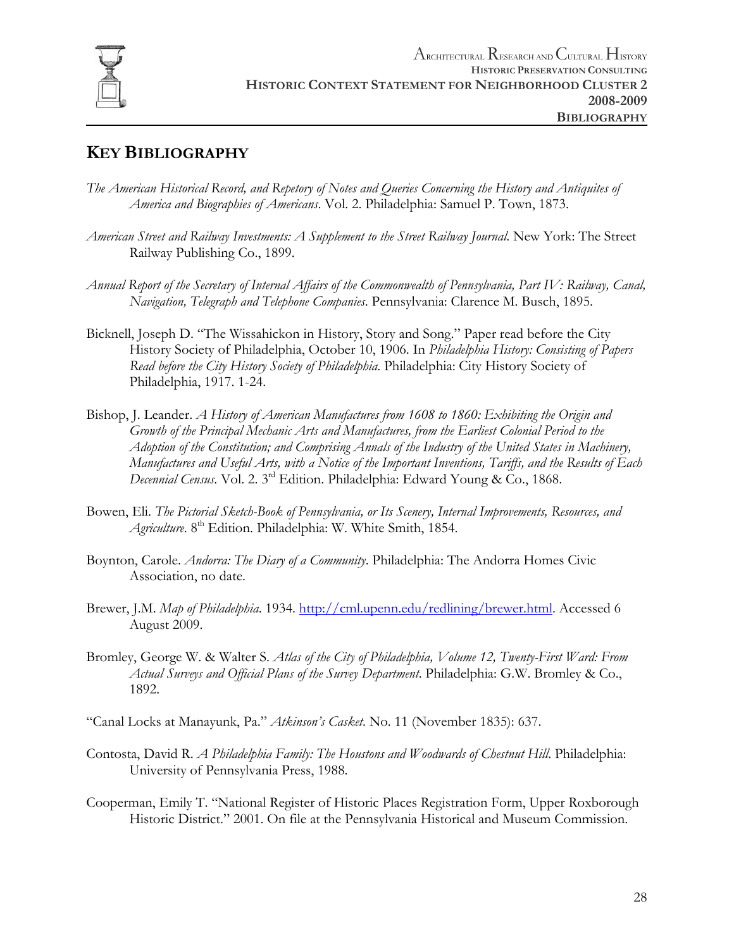

## **KEY BIBLIOGRAPHY**

- *The American Historical Record, and Repetory of Notes and Queries Concerning the History and Antiquites of America and Biographies of Americans*. Vol. 2. Philadelphia: Samuel P. Town, 1873.
- *American Street and Railway Investments: A Supplement to the Street Railway Journal*. New York: The Street Railway Publishing Co., 1899.
- *Annual Report of the Secretary of Internal Affairs of the Commonwealth of Pennsylvania, Part IV: Railway, Canal, Navigation, Telegraph and Telephone Companies*. Pennsylvania: Clarence M. Busch, 1895.
- Bicknell, Joseph D. "The Wissahickon in History, Story and Song." Paper read before the City History Society of Philadelphia, October 10, 1906. In *Philadelphia History: Consisting of Papers Read before the City History Society of Philadelphia*. Philadelphia: City History Society of Philadelphia, 1917. 1-24.
- Bishop, J. Leander. *A History of American Manufactures from 1608 to 1860: Exhibiting the Origin and Growth of the Principal Mechanic Arts and Manufactures, from the Earliest Colonial Period to the Adoption of the Constitution; and Comprising Annals of the Industry of the United States in Machinery, Manufactures and Useful Arts, with a Notice of the Important Inventions, Tariffs, and the Results of Each Decennial Census*. Vol. 2. 3rd Edition. Philadelphia: Edward Young & Co., 1868.
- Bowen, Eli. *The Pictorial Sketch-Book of Pennsylvania, or Its Scenery, Internal Improvements, Resources, and Agriculture*. 8th Edition. Philadelphia: W. White Smith, 1854.
- Boynton, Carole. *Andorra: The Diary of a Community*. Philadelphia: The Andorra Homes Civic Association, no date.
- Brewer, J.M. *Map of Philadelphia*. 1934. http://cml.upenn.edu/redlining/brewer.html. Accessed 6 August 2009.
- Bromley, George W. & Walter S. *Atlas of the City of Philadelphia, Volume 12, Twenty-First Ward: From Actual Surveys and Official Plans of the Survey Department*. Philadelphia: G.W. Bromley & Co., 1892.
- "Canal Locks at Manayunk, Pa." *Atkinson's Casket*. No. 11 (November 1835): 637.
- Contosta, David R. *A Philadelphia Family: The Houstons and Woodwards of Chestnut Hill*. Philadelphia: University of Pennsylvania Press, 1988.
- Cooperman, Emily T. "National Register of Historic Places Registration Form, Upper Roxborough Historic District." 2001. On file at the Pennsylvania Historical and Museum Commission.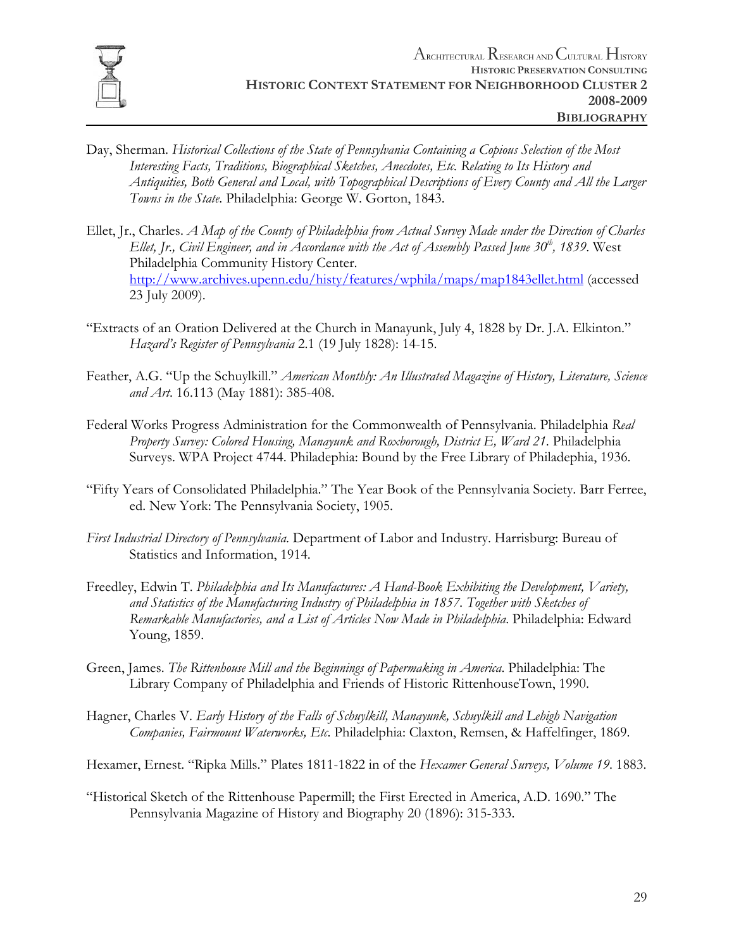

- Day, Sherman. *Historical Collections of the State of Pennsylvania Containing a Copious Selection of the Most Interesting Facts, Traditions, Biographical Sketches, Anecdotes, Etc. Relating to Its History and Antiquities, Both General and Local, with Topographical Descriptions of Every County and All the Larger Towns in the State*. Philadelphia: George W. Gorton, 1843.
- Ellet, Jr., Charles. *A Map of the County of Philadelphia from Actual Survey Made under the Direction of Charles Ellet, Jr., Civil Engineer, and in Accordance with the Act of Assembly Passed June 30<sup>th</sup>, 1839. West* Philadelphia Community History Center. http://www.archives.upenn.edu/histy/features/wphila/maps/map1843ellet.html (accessed 23 July 2009).
- "Extracts of an Oration Delivered at the Church in Manayunk, July 4, 1828 by Dr. J.A. Elkinton." *Hazard's Register of Pennsylvania* 2.1 (19 July 1828): 14-15.
- Feather, A.G. "Up the Schuylkill." *American Monthly: An Illustrated Magazine of History, Literature, Science and Art*. 16.113 (May 1881): 385-408.
- Federal Works Progress Administration for the Commonwealth of Pennsylvania. Philadelphia *Real Property Survey: Colored Housing, Manayunk and Roxborough, District E, Ward 21*. Philadelphia Surveys. WPA Project 4744. Philadephia: Bound by the Free Library of Philadephia, 1936.
- "Fifty Years of Consolidated Philadelphia." The Year Book of the Pennsylvania Society. Barr Ferree, ed. New York: The Pennsylvania Society, 1905.
- *First Industrial Directory of Pennsylvania*. Department of Labor and Industry. Harrisburg: Bureau of Statistics and Information, 1914.
- Freedley, Edwin T. *Philadelphia and Its Manufactures: A Hand-Book Exhibiting the Development, Variety, and Statistics of the Manufacturing Industry of Philadelphia in 1857. Together with Sketches of Remarkable Manufactories, and a List of Articles Now Made in Philadelphia*. Philadelphia: Edward Young, 1859.
- Green, James. *The Rittenhouse Mill and the Beginnings of Papermaking in America*. Philadelphia: The Library Company of Philadelphia and Friends of Historic RittenhouseTown, 1990.
- Hagner, Charles V. *Early History of the Falls of Schuylkill, Manayunk, Schuylkill and Lehigh Navigation Companies, Fairmount Waterworks, Etc*. Philadelphia: Claxton, Remsen, & Haffelfinger, 1869.
- Hexamer, Ernest. "Ripka Mills." Plates 1811-1822 in of the *Hexamer General Surveys, Volume 19*. 1883.
- "Historical Sketch of the Rittenhouse Papermill; the First Erected in America, A.D. 1690." The Pennsylvania Magazine of History and Biography 20 (1896): 315-333.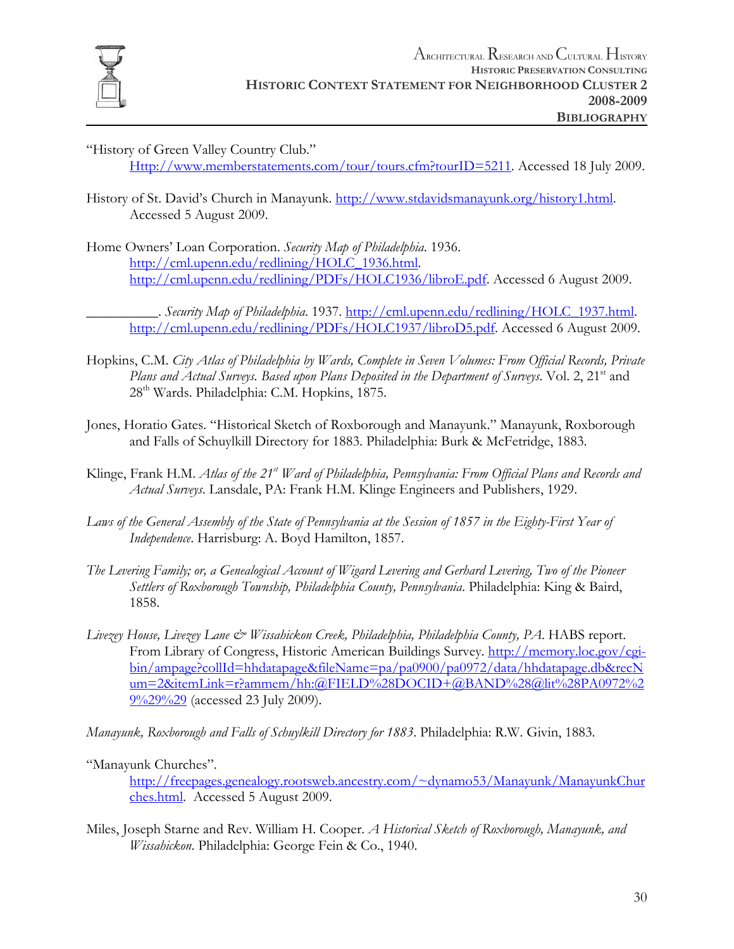

- "History of Green Valley Country Club." Http://www.memberstatements.com/tour/tours.cfm?tourID=5211. Accessed 18 July 2009.
- History of St. David's Church in Manayunk. http://www.stdavidsmanayunk.org/history1.html. Accessed 5 August 2009.
- Home Owners' Loan Corporation. *Security Map of Philadelphia*. 1936. http://cml.upenn.edu/redlining/HOLC\_1936.html. http://cml.upenn.edu/redlining/PDFs/HOLC1936/libroE.pdf. Accessed 6 August 2009.

\_\_\_\_\_\_\_\_\_\_. *Security Map of Philadelphia*. 1937. http://cml.upenn.edu/redlining/HOLC\_1937.html. http://cml.upenn.edu/redlining/PDFs/HOLC1937/libroD5.pdf. Accessed 6 August 2009.

- Hopkins, C.M. *City Atlas of Philadelphia by Wards, Complete in Seven Volumes: From Official Records, Private*  Plans and Actual Surveys. Based upon Plans Deposited in the Department of Surveys. Vol. 2, 21<sup>st</sup> and 28th Wards. Philadelphia: C.M. Hopkins, 1875.
- Jones, Horatio Gates. "Historical Sketch of Roxborough and Manayunk." Manayunk, Roxborough and Falls of Schuylkill Directory for 1883. Philadelphia: Burk & McFetridge, 1883.
- Klinge, Frank H.M. *Atlas of the 21<sup>st</sup> Ward of Philadelphia*, Pennsylvania: From Official Plans and Records and *Actual Surveys*. Lansdale, PA: Frank H.M. Klinge Engineers and Publishers, 1929.
- *Laws of the General Assembly of the State of Pennsylvania at the Session of 1857 in the Eighty-First Year of Independence*. Harrisburg: A. Boyd Hamilton, 1857.
- *The Levering Family; or, a Genealogical Account of Wigard Levering and Gerhard Levering, Two of the Pioneer Settlers of Roxborough Township, Philadelphia County, Pennsylvania*. Philadelphia: King & Baird, 1858.
- *Livezey House, Livezey Lane & Wissahickon Creek, Philadelphia, Philadelphia County, PA*. HABS report. From Library of Congress, Historic American Buildings Survey. http://memory.loc.gov/cgibin/ampage?collId=hhdatapage&fileName=pa/pa0900/pa0972/data/hhdatapage.db&recN um=2&itemLink=r?ammem/hh:@FIELD%28DOCID+@BAND%28@lit%28PA0972%2 9%29%29 (accessed 23 July 2009).
- *Manayunk, Roxborough and Falls of Schuylkill Directory for 1883*. Philadelphia: R.W. Givin, 1883.
- "Manayunk Churches".

http://freepages.genealogy.rootsweb.ancestry.com/~dynamo53/Manayunk/ManayunkChur ches.html. Accessed 5 August 2009.

Miles, Joseph Starne and Rev. William H. Cooper. *A Historical Sketch of Roxborough, Manayunk, and Wissahickon*. Philadelphia: George Fein & Co., 1940.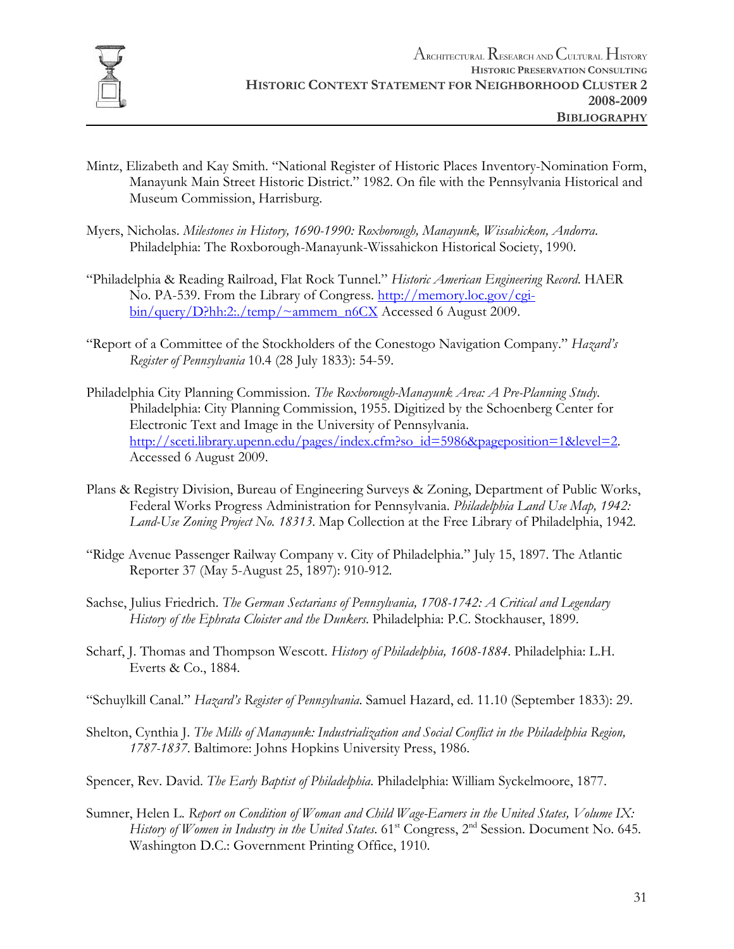

- Mintz, Elizabeth and Kay Smith. "National Register of Historic Places Inventory-Nomination Form, Manayunk Main Street Historic District." 1982. On file with the Pennsylvania Historical and Museum Commission, Harrisburg.
- Myers, Nicholas. *Milestones in History, 1690-1990: Roxborough, Manayunk, Wissahickon, Andorra*. Philadelphia: The Roxborough-Manayunk-Wissahickon Historical Society, 1990.
- "Philadelphia & Reading Railroad, Flat Rock Tunnel." *Historic American Engineering Record*. HAER No. PA-539. From the Library of Congress. http://memory.loc.gov/cgibin/query/D?hh:2:./temp/~ammem\_n6CX Accessed 6 August 2009.
- "Report of a Committee of the Stockholders of the Conestogo Navigation Company." *Hazard's Register of Pennsylvania* 10.4 (28 July 1833): 54-59.
- Philadelphia City Planning Commission. *The Roxborough-Manayunk Area: A Pre-Planning Study*. Philadelphia: City Planning Commission, 1955. Digitized by the Schoenberg Center for Electronic Text and Image in the University of Pennsylvania. http://sceti.library.upenn.edu/pages/index.cfm?so\_id=5986&pageposition=1&level=2. Accessed 6 August 2009.
- Plans & Registry Division, Bureau of Engineering Surveys & Zoning, Department of Public Works, Federal Works Progress Administration for Pennsylvania. *Philadelphia Land Use Map, 1942: Land-Use Zoning Project No. 18313*. Map Collection at the Free Library of Philadelphia, 1942.
- "Ridge Avenue Passenger Railway Company v. City of Philadelphia." July 15, 1897. The Atlantic Reporter 37 (May 5-August 25, 1897): 910-912.
- Sachse, Julius Friedrich. *The German Sectarians of Pennsylvania, 1708-1742: A Critical and Legendary History of the Ephrata Cloister and the Dunkers*. Philadelphia: P.C. Stockhauser, 1899.
- Scharf, J. Thomas and Thompson Wescott. *History of Philadelphia, 1608-1884*. Philadelphia: L.H. Everts & Co., 1884.
- "Schuylkill Canal." *Hazard's Register of Pennsylvania*. Samuel Hazard, ed. 11.10 (September 1833): 29.
- Shelton, Cynthia J. *The Mills of Manayunk: Industrialization and Social Conflict in the Philadelphia Region, 1787-1837*. Baltimore: Johns Hopkins University Press, 1986.
- Spencer, Rev. David. *The Early Baptist of Philadelphia*. Philadelphia: William Syckelmoore, 1877.
- Sumner, Helen L. *Report on Condition of Woman and Child Wage-Earners in the United States, Volume IX: History of Women in Industry in the United States.* 61<sup>st</sup> Congress, 2<sup>nd</sup> Session. Document No. 645. Washington D.C.: Government Printing Office, 1910.